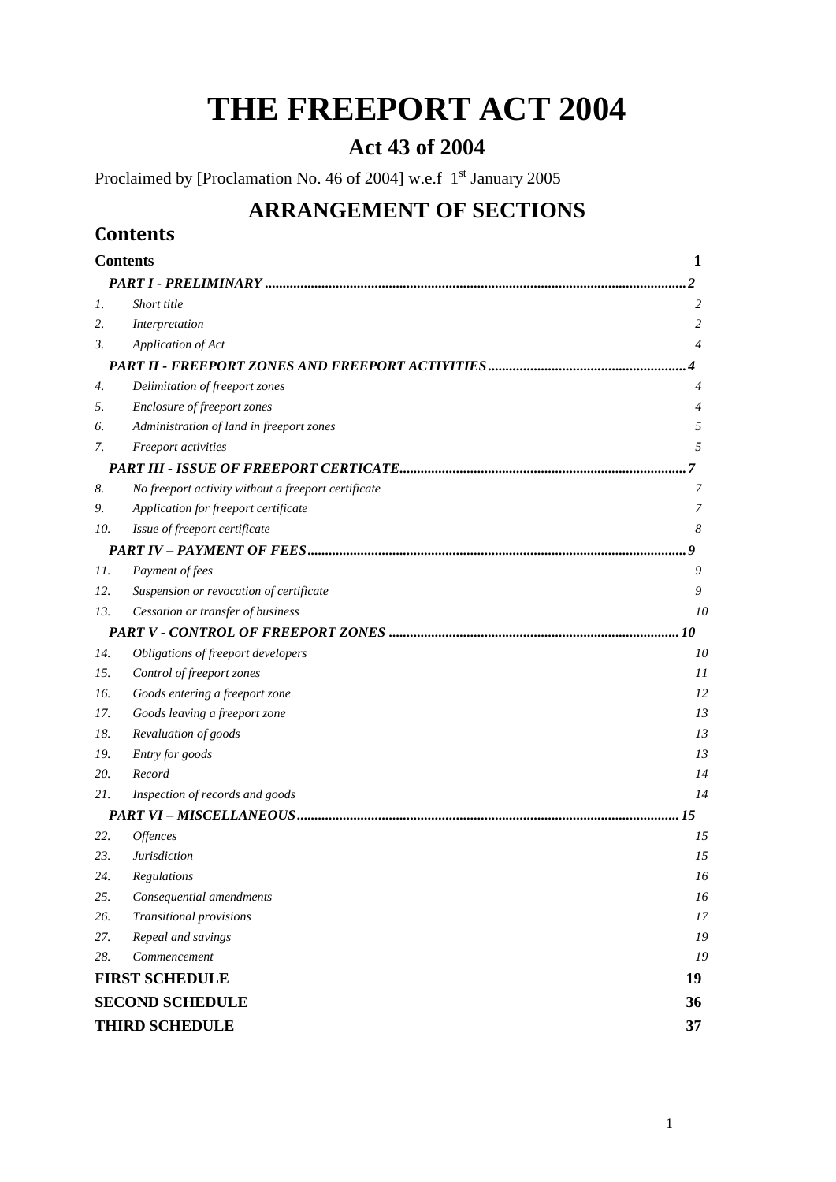# **THE FREEPORT ACT 2004**

# **Act 43 of 2004**

Proclaimed by [Proclamation No. 46 of 2004] w.e.f 1<sup>st</sup> January 2005

# **ARRANGEMENT OF SECTIONS**

# <span id="page-0-0"></span>**Contents**

| <b>Contents</b>        |                                                     |    |
|------------------------|-----------------------------------------------------|----|
|                        |                                                     |    |
| 1.                     | Short title                                         | 2  |
| 2.                     | Interpretation                                      | 2  |
| 3.                     | Application of Act                                  | 4  |
|                        |                                                     |    |
| 4.                     | Delimitation of freeport zones                      | 4  |
| 5.                     | Enclosure of freeport zones                         | 4  |
| 6.                     | Administration of land in freeport zones            | 5  |
| 7.                     | Freeport activities                                 | 5  |
|                        |                                                     | 7  |
| 8.                     | No freeport activity without a freeport certificate | 7  |
| 9.                     | Application for freeport certificate                | 7  |
| 10.                    | Issue of freeport certificate                       | 8  |
|                        |                                                     |    |
| 11.                    | Payment of fees                                     | 9  |
| 12.                    | Suspension or revocation of certificate             | 9  |
| 13.                    | Cessation or transfer of business                   | 10 |
|                        |                                                     |    |
| 14.                    | Obligations of freeport developers                  | 10 |
| 15.                    | Control of freeport zones                           | 11 |
| 16.                    | Goods entering a freeport zone                      | 12 |
| 17.                    | Goods leaving a freeport zone                       | 13 |
| 18.                    | Revaluation of goods                                | 13 |
| 19.                    | Entry for goods                                     | 13 |
| 20.                    | Record                                              | 14 |
| 21.                    | Inspection of records and goods                     | 14 |
|                        |                                                     | 15 |
| 22.                    | Offences                                            | 15 |
| 23.                    | <b>Jurisdiction</b>                                 | 15 |
| 24.                    | Regulations                                         | 16 |
| 25.                    | Consequential amendments                            | 16 |
| 26.                    | Transitional provisions                             | 17 |
| 27.                    | Repeal and savings                                  | 19 |
| 28.                    | Commencement                                        | 19 |
| <b>FIRST SCHEDULE</b>  |                                                     |    |
| <b>SECOND SCHEDULE</b> |                                                     |    |
| <b>THIRD SCHEDULE</b>  |                                                     |    |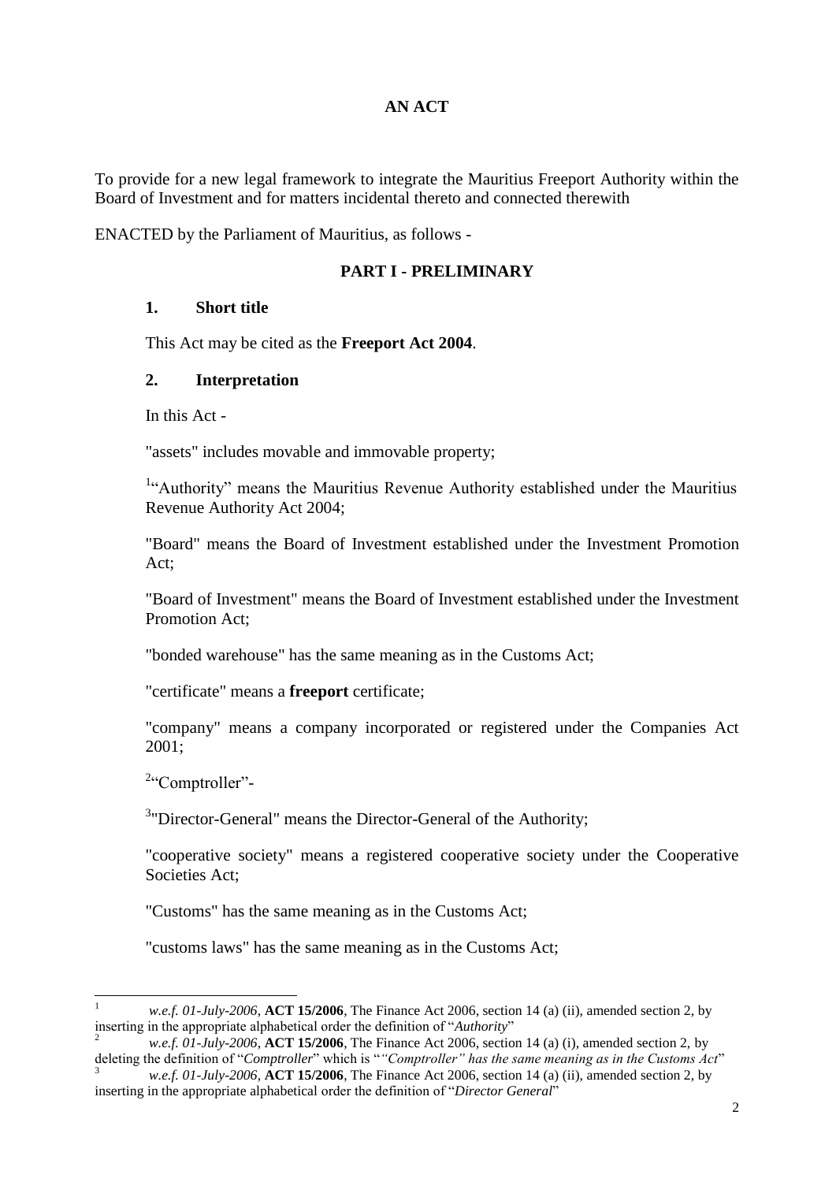#### **AN ACT**

To provide for a new legal framework to integrate the Mauritius Freeport Authority within the Board of Investment and for matters incidental thereto and connected therewith

<span id="page-1-0"></span>ENACTED by the Parliament of Mauritius, as follows -

#### **PART I - PRELIMINARY**

### <span id="page-1-1"></span>**1. Short title**

This Act may be cited as the **Freeport Act 2004**.

#### <span id="page-1-2"></span>**2. Interpretation**

In this Act -

"assets" includes movable and immovable property;

<sup>1</sup>"Authority" means the Mauritius Revenue Authority established under the Mauritius Revenue Authority Act 2004;

"Board" means the Board of Investment established under the Investment Promotion Act;

"Board of Investment" means the Board of Investment established under the Investment Promotion Act;

"bonded warehouse" has the same meaning as in the Customs Act;

"certificate" means a **freeport** certificate;

"company" means a company incorporated or registered under the Companies Act 2001;

<sup>2</sup>"Comptroller"-

 $\overline{a}$ 

<sup>3</sup>"Director-General" means the Director-General of the Authority;

"cooperative society" means a registered cooperative society under the Cooperative Societies Act;

"Customs" has the same meaning as in the Customs Act;

"customs laws" has the same meaning as in the Customs Act;

<sup>1</sup> *w.e.f. 01-July-2006*, **ACT 15/2006**, The Finance Act 2006, section 14 (a) (ii), amended section 2, by inserting in the appropriate alphabetical order the definition of "*Authority*"

<sup>2</sup> *w.e.f. 01-July-2006*, **ACT 15/2006**, The Finance Act 2006, section 14 (a) (i), amended section 2, by deleting the definition of "*Comptroller*" which is "*"Comptroller" has the same meaning as in the Customs Act*"

<sup>3</sup> *w.e.f. 01-July-2006*, **ACT 15/2006**, The Finance Act 2006, section 14 (a) (ii), amended section 2, by inserting in the appropriate alphabetical order the definition of "*Director General*"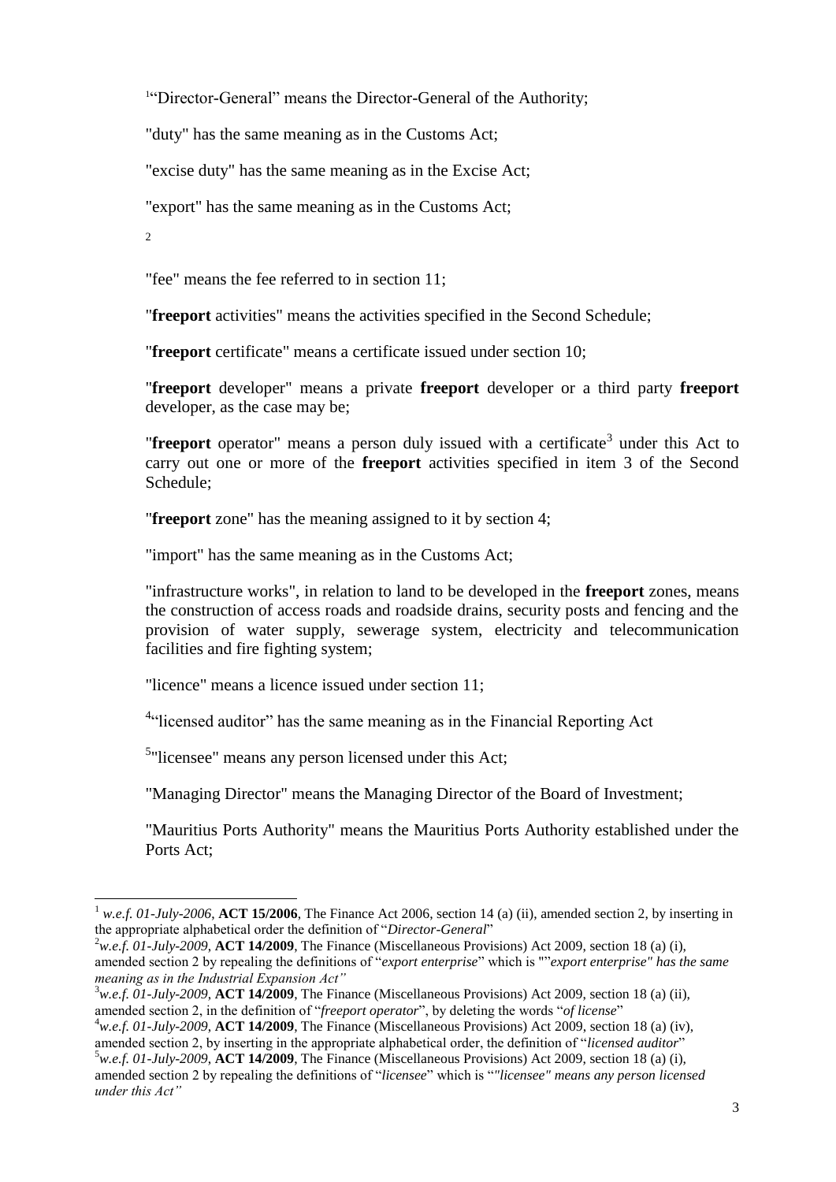<sup>1"</sup>Director-General" means the Director-General of the Authority;

"duty" has the same meaning as in the Customs Act;

"excise duty" has the same meaning as in the Excise Act;

"export" has the same meaning as in the Customs Act;

2

 $\overline{a}$ 

"fee" means the fee referred to in section 11;

"**freeport** activities" means the activities specified in the Second Schedule;

"**freeport** certificate" means a certificate issued under section 10;

"**freeport** developer" means a private **freeport** developer or a third party **freeport** developer, as the case may be;

"**freeport** operator" means a person duly issued with a certificate<sup>3</sup> under this Act to carry out one or more of the **freeport** activities specified in item 3 of the Second Schedule;

"**freeport** zone" has the meaning assigned to it by section 4;

"import" has the same meaning as in the Customs Act;

"infrastructure works", in relation to land to be developed in the **freeport** zones, means the construction of access roads and roadside drains, security posts and fencing and the provision of water supply, sewerage system, electricity and telecommunication facilities and fire fighting system;

"licence" means a licence issued under section 11;

<sup>4</sup>"licensed auditor" has the same meaning as in the Financial Reporting Act

<sup>5</sup>"licensee" means any person licensed under this Act;

"Managing Director" means the Managing Director of the Board of Investment;

"Mauritius Ports Authority" means the Mauritius Ports Authority established under the Ports Act;

<sup>2</sup>w.e.f. 01-July-2009, **ACT 14/2009**, The Finance (Miscellaneous Provisions) Act 2009, section 18 (a) (i). amended section 2 by repealing the definitions of "*export enterprise*" which is ""*export enterprise" has the same meaning as in the Industrial Expansion Act"*

<sup>3</sup>*w.e.f. 01-July-2009*, **ACT 14/2009**, The Finance (Miscellaneous Provisions) Act 2009, section 18 (a) (ii), amended section 2, in the definition of "*freeport operator*", by deleting the words "*of license*"

<sup>1</sup> *w.e.f. 01-July-2006*, **ACT 15/2006**, The Finance Act 2006, section 14 (a) (ii), amended section 2, by inserting in the appropriate alphabetical order the definition of "*Director-General*"

<sup>4</sup>*w.e.f. 01-July-2009*, **ACT 14/2009**, The Finance (Miscellaneous Provisions) Act 2009, section 18 (a) (iv), amended section 2, by inserting in the appropriate alphabetical order, the definition of "*licensed auditor*" <sup>5</sup>*w.e.f. 01-July-2009*, **ACT 14/2009**, The Finance (Miscellaneous Provisions) Act 2009, section 18 (a) (i),

amended section 2 by repealing the definitions of "*licensee*" which is "*"licensee" means any person licensed under this Act"*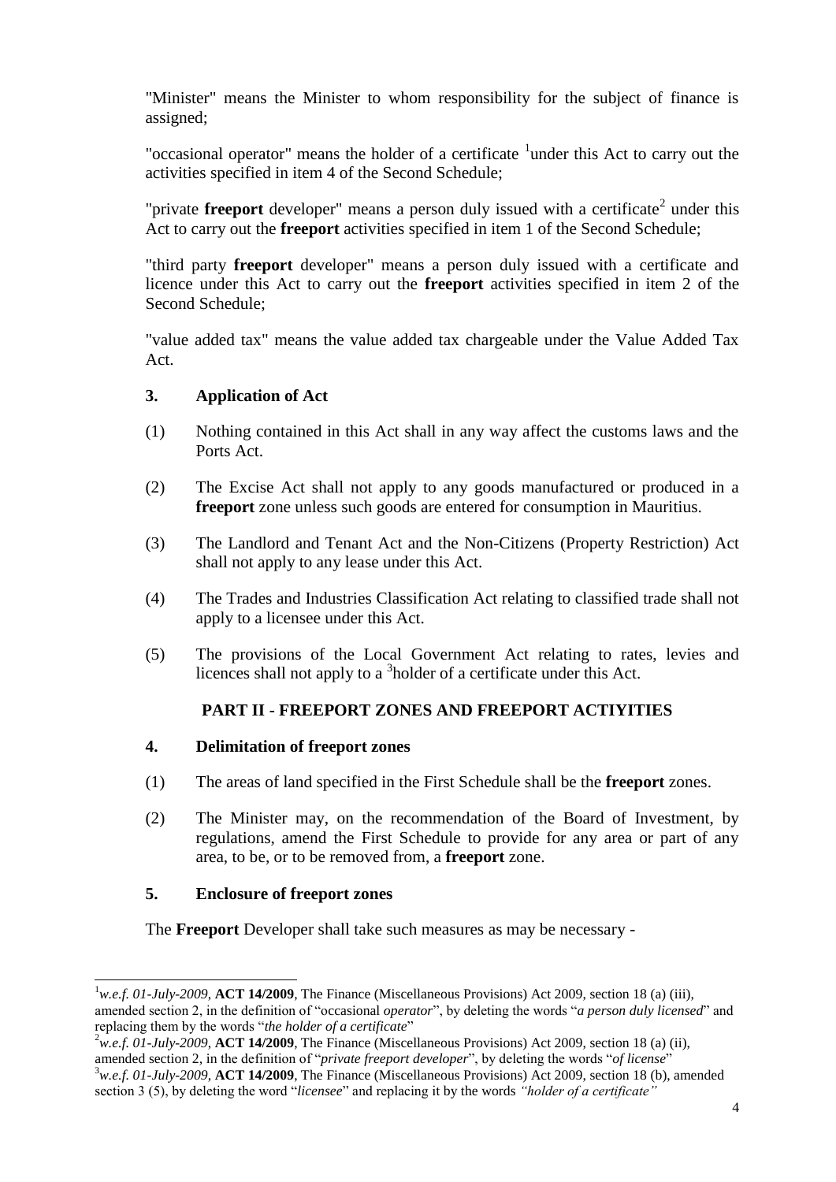"Minister" means the Minister to whom responsibility for the subject of finance is assigned;

"occasional operator" means the holder of a certificate <sup>1</sup>under this Act to carry out the activities specified in item 4 of the Second Schedule;

"private **freeport** developer" means a person duly issued with a certificate<sup>2</sup> under this Act to carry out the **freeport** activities specified in item 1 of the Second Schedule;

"third party **freeport** developer" means a person duly issued with a certificate and licence under this Act to carry out the **freeport** activities specified in item 2 of the Second Schedule;

"value added tax" means the value added tax chargeable under the Value Added Tax Act.

## <span id="page-3-0"></span>**3. Application of Act**

- (1) Nothing contained in this Act shall in any way affect the customs laws and the Ports Act.
- (2) The Excise Act shall not apply to any goods manufactured or produced in a **freeport** zone unless such goods are entered for consumption in Mauritius.
- (3) The Landlord and Tenant Act and the Non-Citizens (Property Restriction) Act shall not apply to any lease under this Act.
- (4) The Trades and Industries Classification Act relating to classified trade shall not apply to a licensee under this Act.
- (5) The provisions of the Local Government Act relating to rates, levies and licences shall not apply to a <sup>3</sup>holder of a certificate under this Act.

# **PART II - FREEPORT ZONES AND FREEPORT ACTIYITIES**

#### <span id="page-3-2"></span><span id="page-3-1"></span>**4. Delimitation of freeport zones**

- (1) The areas of land specified in the First Schedule shall be the **freeport** zones.
- (2) The Minister may, on the recommendation of the Board of Investment, by regulations, amend the First Schedule to provide for any area or part of any area, to be, or to be removed from, a **freeport** zone.

#### <span id="page-3-3"></span>**5. Enclosure of freeport zones**

l

The **Freeport** Developer shall take such measures as may be necessary -

<sup>1</sup>*w.e.f. 01-July-2009*, **ACT 14/2009**, The Finance (Miscellaneous Provisions) Act 2009, section 18 (a) (iii), amended section 2, in the definition of "occasional *operator*", by deleting the words "*a person duly licensed*" and replacing them by the words "*the holder of a certificate*"

<sup>2</sup>*w.e.f. 01-July-2009*, **ACT 14/2009**, The Finance (Miscellaneous Provisions) Act 2009, section 18 (a) (ii), amended section 2, in the definition of "*private freeport developer*", by deleting the words "*of license*"

<sup>3</sup>*w.e.f. 01-July-2009*, **ACT 14/2009**, The Finance (Miscellaneous Provisions) Act 2009, section 18 (b), amended section 3 (5), by deleting the word "*licensee*" and replacing it by the words *"holder of a certificate"*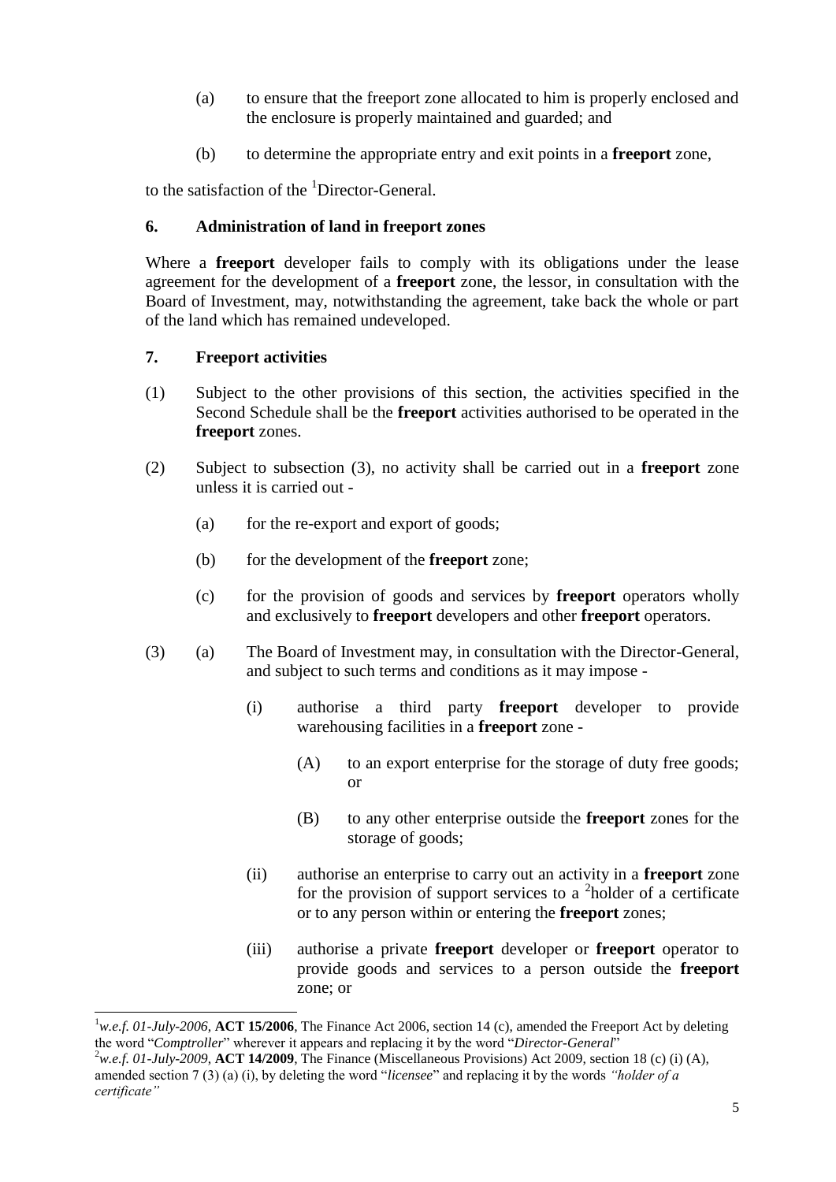- (a) to ensure that the freeport zone allocated to him is properly enclosed and the enclosure is properly maintained and guarded; and
- (b) to determine the appropriate entry and exit points in a **freeport** zone,

to the satisfaction of the <sup>1</sup>Director-General.

# <span id="page-4-0"></span>**6. Administration of land in freeport zones**

Where a **freeport** developer fails to comply with its obligations under the lease agreement for the development of a **freeport** zone, the lessor, in consultation with the Board of Investment, may, notwithstanding the agreement, take back the whole or part of the land which has remained undeveloped.

# <span id="page-4-1"></span>**7. Freeport activities**

 $\overline{a}$ 

- (1) Subject to the other provisions of this section, the activities specified in the Second Schedule shall be the **freeport** activities authorised to be operated in the **freeport** zones.
- (2) Subject to subsection (3), no activity shall be carried out in a **freeport** zone unless it is carried out -
	- (a) for the re-export and export of goods;
	- (b) for the development of the **freeport** zone;
	- (c) for the provision of goods and services by **freeport** operators wholly and exclusively to **freeport** developers and other **freeport** operators.
- (3) (a) The Board of Investment may, in consultation with the Director-General, and subject to such terms and conditions as it may impose -
	- (i) authorise a third party **freeport** developer to provide warehousing facilities in a **freeport** zone -
		- (A) to an export enterprise for the storage of duty free goods; or
		- (B) to any other enterprise outside the **freeport** zones for the storage of goods;
	- (ii) authorise an enterprise to carry out an activity in a **freeport** zone for the provision of support services to a  $2$  holder of a certificate or to any person within or entering the **freeport** zones;
	- (iii) authorise a private **freeport** developer or **freeport** operator to provide goods and services to a person outside the **freeport** zone; or

<sup>1</sup>*w.e.f. 01-July-2006*, **ACT 15/2006**, The Finance Act 2006, section 14 (c), amended the Freeport Act by deleting the word "*Comptroller*" wherever it appears and replacing it by the word "*Director-General*"

<sup>2</sup>*w.e.f. 01-July-2009*, **ACT 14/2009**, The Finance (Miscellaneous Provisions) Act 2009, section 18 (c) (i) (A), amended section 7 (3) (a) (i), by deleting the word "*licensee*" and replacing it by the words *"holder of a certificate"*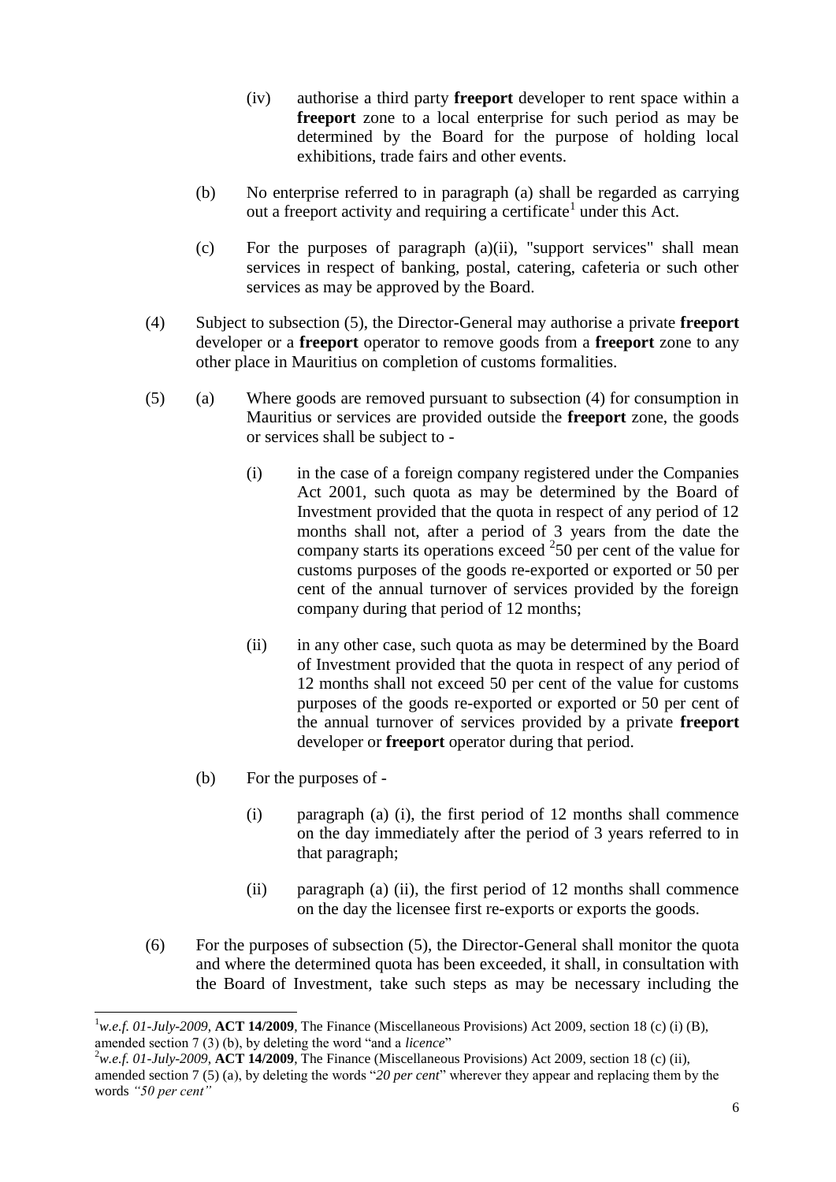- (iv) authorise a third party **freeport** developer to rent space within a **freeport** zone to a local enterprise for such period as may be determined by the Board for the purpose of holding local exhibitions, trade fairs and other events.
- (b) No enterprise referred to in paragraph (a) shall be regarded as carrying out a freeport activity and requiring a certificate<sup>1</sup> under this Act.
- (c) For the purposes of paragraph (a)(ii), "support services" shall mean services in respect of banking, postal, catering, cafeteria or such other services as may be approved by the Board.
- (4) Subject to subsection (5), the Director-General may authorise a private **freeport** developer or a **freeport** operator to remove goods from a **freeport** zone to any other place in Mauritius on completion of customs formalities.
- (5) (a) Where goods are removed pursuant to subsection (4) for consumption in Mauritius or services are provided outside the **freeport** zone, the goods or services shall be subject to -
	- (i) in the case of a foreign company registered under the Companies Act 2001, such quota as may be determined by the Board of Investment provided that the quota in respect of any period of 12 months shall not, after a period of 3 years from the date the company starts its operations exceed  $250$  per cent of the value for customs purposes of the goods re-exported or exported or 50 per cent of the annual turnover of services provided by the foreign company during that period of 12 months;
	- (ii) in any other case, such quota as may be determined by the Board of Investment provided that the quota in respect of any period of 12 months shall not exceed 50 per cent of the value for customs purposes of the goods re-exported or exported or 50 per cent of the annual turnover of services provided by a private **freeport** developer or **freeport** operator during that period.
	- (b) For the purposes of -

 $\overline{a}$ 

- (i) paragraph (a) (i), the first period of 12 months shall commence on the day immediately after the period of 3 years referred to in that paragraph;
- (ii) paragraph (a) (ii), the first period of 12 months shall commence on the day the licensee first re-exports or exports the goods.
- (6) For the purposes of subsection (5), the Director-General shall monitor the quota and where the determined quota has been exceeded, it shall, in consultation with the Board of Investment, take such steps as may be necessary including the

<sup>1</sup>*w.e.f. 01-July-2009*, **ACT 14/2009**, The Finance (Miscellaneous Provisions) Act 2009, section 18 (c) (i) (B), amended section 7 (3) (b), by deleting the word "and a *licence*"

<sup>2</sup>*w.e.f. 01-July-2009*, **ACT 14/2009**, The Finance (Miscellaneous Provisions) Act 2009, section 18 (c) (ii), amended section 7 (5) (a), by deleting the words "*20 per cent*" wherever they appear and replacing them by the words *"50 per cent"*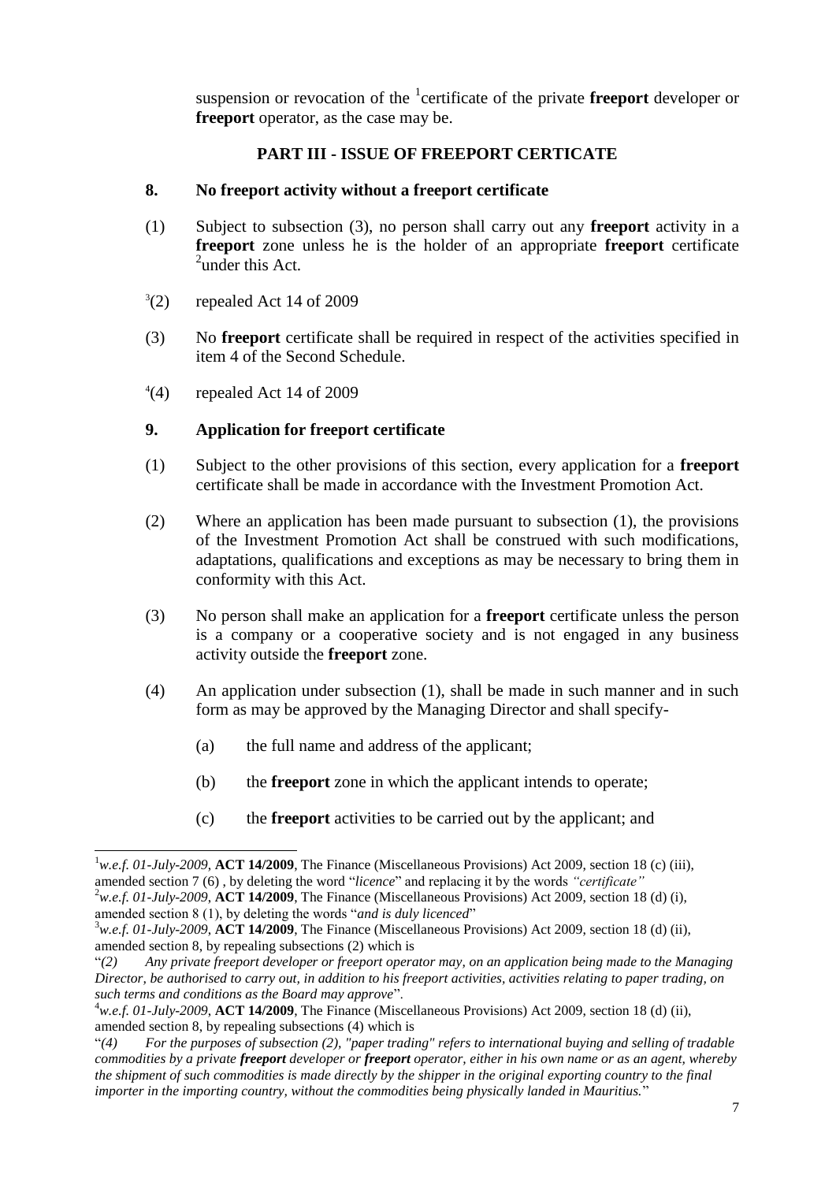suspension or revocation of the <sup>1</sup>certificate of the private **freeport** developer or **freeport** operator, as the case may be.

# **PART III - ISSUE OF FREEPORT CERTICATE**

# <span id="page-6-1"></span><span id="page-6-0"></span>**8. No freeport activity without a freeport certificate**

- (1) Subject to subsection (3), no person shall carry out any **freeport** activity in a **freeport** zone unless he is the holder of an appropriate **freeport** certificate  $2$ under this Act.
- $^{3}(2)$ (2) repealed Act 14 of 2009
- (3) No **freeport** certificate shall be required in respect of the activities specified in item 4 of the Second Schedule.
- $^{4}(4)$ repealed Act 14 of 2009

# <span id="page-6-2"></span>**9. Application for freeport certificate**

- (1) Subject to the other provisions of this section, every application for a **freeport** certificate shall be made in accordance with the Investment Promotion Act.
- (2) Where an application has been made pursuant to subsection (1), the provisions of the Investment Promotion Act shall be construed with such modifications, adaptations, qualifications and exceptions as may be necessary to bring them in conformity with this Act.
- (3) No person shall make an application for a **freeport** certificate unless the person is a company or a cooperative society and is not engaged in any business activity outside the **freeport** zone.
- (4) An application under subsection (1), shall be made in such manner and in such form as may be approved by the Managing Director and shall specify-
	- (a) the full name and address of the applicant;
	- (b) the **freeport** zone in which the applicant intends to operate;
	- (c) the **freeport** activities to be carried out by the applicant; and

amended section 8 (1), by deleting the words "*and is duly licenced*"

 $\overline{a}$ <sup>1</sup>*w.e.f. 01-July-2009*, **ACT 14/2009**, The Finance (Miscellaneous Provisions) Act 2009, section 18 (c) (iii), amended section 7 (6) , by deleting the word "*licence*" and replacing it by the words *"certificate"* <sup>2</sup>*w.e.f. 01-July-2009*, **ACT 14/2009**, The Finance (Miscellaneous Provisions) Act 2009, section 18 (d) (i),

<sup>3</sup>*w.e.f. 01-July-2009*, **ACT 14/2009**, The Finance (Miscellaneous Provisions) Act 2009, section 18 (d) (ii), amended section 8, by repealing subsections (2) which is

<sup>&</sup>quot;*(2) Any private freeport developer or freeport operator may, on an application being made to the Managing Director, be authorised to carry out, in addition to his freeport activities, activities relating to paper trading, on such terms and conditions as the Board may approve*".

<sup>4</sup>*w.e.f. 01-July-2009*, **ACT 14/2009**, The Finance (Miscellaneous Provisions) Act 2009, section 18 (d) (ii), amended section 8, by repealing subsections (4) which is

<sup>&</sup>quot;*(4) For the purposes of subsection (2), "paper trading" refers to international buying and selling of tradable commodities by a private freeport developer or freeport operator, either in his own name or as an agent, whereby the shipment of such commodities is made directly by the shipper in the original exporting country to the final importer in the importing country, without the commodities being physically landed in Mauritius.*"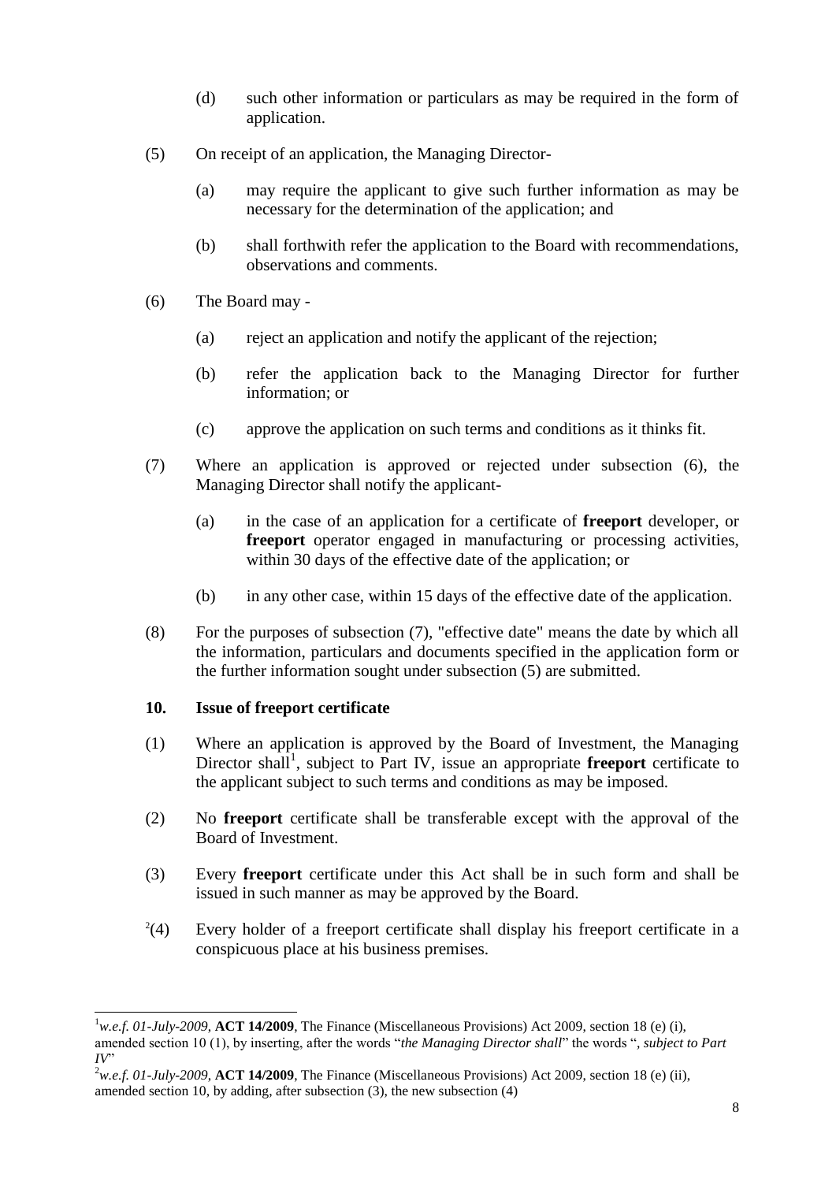- (d) such other information or particulars as may be required in the form of application.
- (5) On receipt of an application, the Managing Director-
	- (a) may require the applicant to give such further information as may be necessary for the determination of the application; and
	- (b) shall forthwith refer the application to the Board with recommendations, observations and comments.
- (6) The Board may
	- (a) reject an application and notify the applicant of the rejection;
	- (b) refer the application back to the Managing Director for further information; or
	- (c) approve the application on such terms and conditions as it thinks fit.
- (7) Where an application is approved or rejected under subsection (6), the Managing Director shall notify the applicant-
	- (a) in the case of an application for a certificate of **freeport** developer, or **freeport** operator engaged in manufacturing or processing activities, within 30 days of the effective date of the application; or
	- (b) in any other case, within 15 days of the effective date of the application.
- (8) For the purposes of subsection (7), "effective date" means the date by which all the information, particulars and documents specified in the application form or the further information sought under subsection (5) are submitted.

# <span id="page-7-0"></span>**10. Issue of freeport certificate**

- (1) Where an application is approved by the Board of Investment, the Managing Director shall<sup>1</sup>, subject to Part IV, issue an appropriate **freeport** certificate to the applicant subject to such terms and conditions as may be imposed.
- (2) No **freeport** certificate shall be transferable except with the approval of the Board of Investment.
- (3) Every **freeport** certificate under this Act shall be in such form and shall be issued in such manner as may be approved by the Board.
- $^{2}(4)$ Every holder of a freeport certificate shall display his freeport certificate in a conspicuous place at his business premises.

 $\overline{a}$  $^{1}$ *w.e.f. 01-July-2009*, **ACT 14/2009**, The Finance (Miscellaneous Provisions) Act 2009, section 18 (e) (i), amended section 10 (1), by inserting, after the words "*the Managing Director shall*" the words "*, subject to Part*   $IV$ 

<sup>2</sup>*w.e.f. 01-July-2009*, **ACT 14/2009**, The Finance (Miscellaneous Provisions) Act 2009, section 18 (e) (ii), amended section 10, by adding, after subsection (3), the new subsection (4)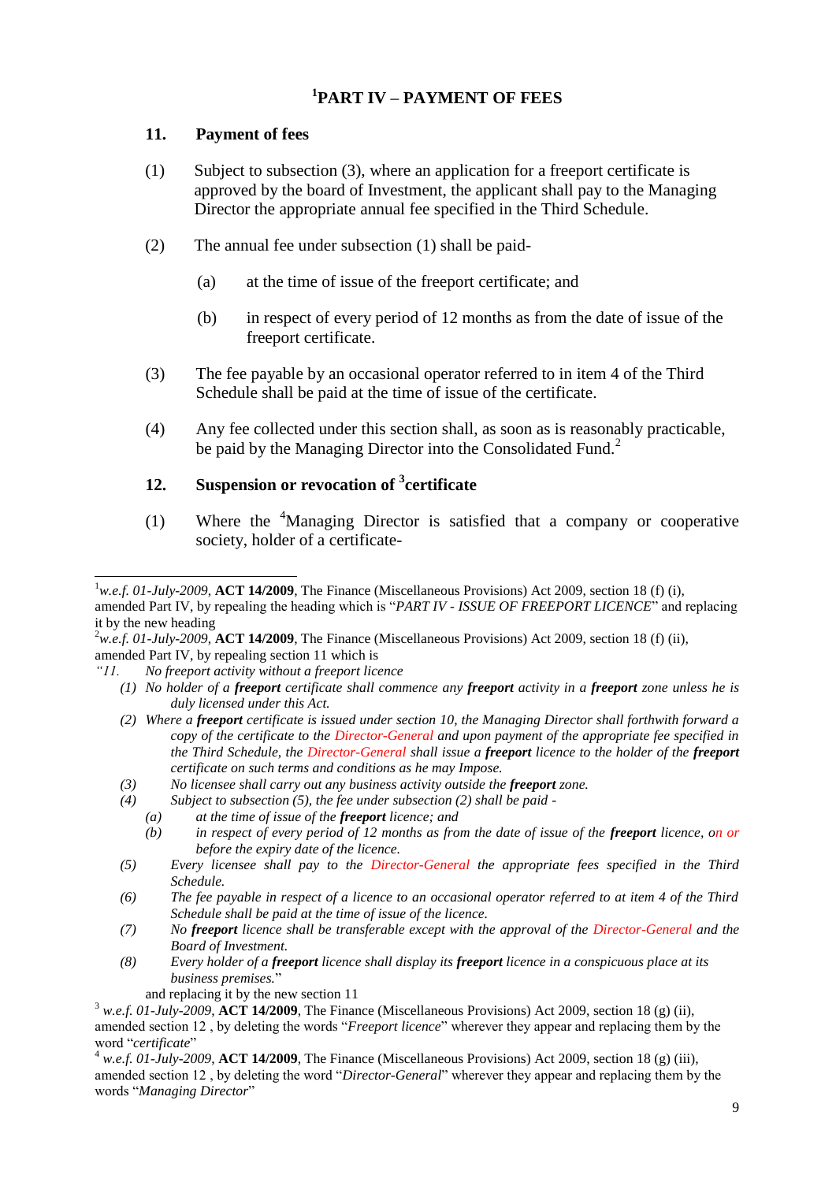# **1 PART IV – PAYMENT OF FEES**

# <span id="page-8-1"></span><span id="page-8-0"></span>**11. Payment of fees**

- (1) Subject to subsection (3), where an application for a freeport certificate is approved by the board of Investment, the applicant shall pay to the Managing Director the appropriate annual fee specified in the Third Schedule.
- (2) The annual fee under subsection (1) shall be paid-
	- (a) at the time of issue of the freeport certificate; and
	- (b) in respect of every period of 12 months as from the date of issue of the freeport certificate.
- (3) The fee payable by an occasional operator referred to in item 4 of the Third Schedule shall be paid at the time of issue of the certificate.
- (4) Any fee collected under this section shall, as soon as is reasonably practicable, be paid by the Managing Director into the Consolidated Fund.<sup>2</sup>

# <span id="page-8-2"></span>**12. Suspension or revocation of <sup>3</sup> certificate**

(1) Where the  $4$ Managing Director is satisfied that a company or cooperative society, holder of a certificate-

- *(1) No holder of a freeport certificate shall commence any freeport activity in a freeport zone unless he is duly licensed under this Act.*
- *(2) Where a freeport certificate is issued under section 10, the Managing Director shall forthwith forward a copy of the certificate to the Director-General and upon payment of the appropriate fee specified in the Third Schedule, the Director-General shall issue a freeport licence to the holder of the freeport certificate on such terms and conditions as he may Impose.*
- *(3) No licensee shall carry out any business activity outside the freeport zone.*
- *(4) Subject to subsection (5), the fee under subsection (2) shall be paid -*
	- *(a) at the time of issue of the freeport licence; and*
	- *(b) in respect of every period of 12 months as from the date of issue of the freeport licence, on or before the expiry date of the licence.*
- *(5) Every licensee shall pay to the Director-General the appropriate fees specified in the Third Schedule.*
- *(6) The fee payable in respect of a licence to an occasional operator referred to at item 4 of the Third Schedule shall be paid at the time of issue of the licence.*
- *(7) No freeport licence shall be transferable except with the approval of the Director-General and the Board of Investment.*
- *(8) Every holder of a freeport licence shall display its freeport licence in a conspicuous place at its business premises.*"
	- and replacing it by the new section 11

 $\overline{a}$ <sup>1</sup>w.e.f. 01-July-2009, **ACT 14/2009**, The Finance (Miscellaneous Provisions) Act 2009, section 18 (f) (i),

amended Part IV, by repealing the heading which is "*PART IV - ISSUE OF FREEPORT LICENCE*" and replacing it by the new heading

<sup>2</sup>*w.e.f. 01-July-2009*, **ACT 14/2009**, The Finance (Miscellaneous Provisions) Act 2009, section 18 (f) (ii), amended Part IV, by repealing section 11 which is

*<sup>&</sup>quot;11. No freeport activity without a freeport licence* 

<sup>3</sup> *w.e.f. 01-July-2009*, **ACT 14/2009**, The Finance (Miscellaneous Provisions) Act 2009, section 18 (g) (ii), amended section 12 , by deleting the words "*Freeport licence*" wherever they appear and replacing them by the word "*certificate*"

<sup>4</sup> *w.e.f. 01-July-2009*, **ACT 14/2009**, The Finance (Miscellaneous Provisions) Act 2009, section 18 (g) (iii), amended section 12 , by deleting the word "*Director-General*" wherever they appear and replacing them by the words "*Managing Director*"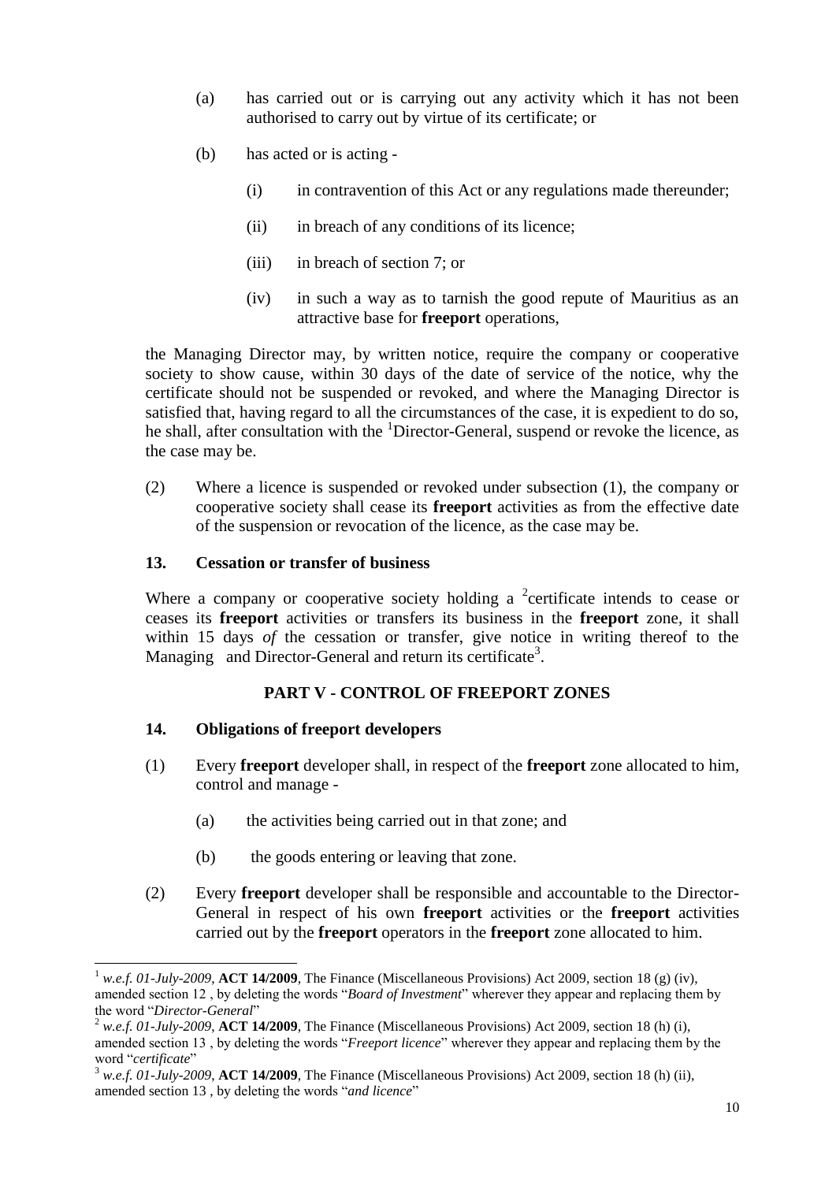- (a) has carried out or is carrying out any activity which it has not been authorised to carry out by virtue of its certificate; or
- (b) has acted or is acting
	- (i) in contravention of this Act or any regulations made thereunder;
	- (ii) in breach of any conditions of its licence;
	- (iii) in breach of section 7; or
	- (iv) in such a way as to tarnish the good repute of Mauritius as an attractive base for **freeport** operations,

the Managing Director may, by written notice, require the company or cooperative society to show cause, within 30 days of the date of service of the notice, why the certificate should not be suspended or revoked, and where the Managing Director is satisfied that, having regard to all the circumstances of the case, it is expedient to do so, he shall, after consultation with the <sup>1</sup>Director-General, suspend or revoke the licence, as the case may be.

(2) Where a licence is suspended or revoked under subsection (1), the company or cooperative society shall cease its **freeport** activities as from the effective date of the suspension or revocation of the licence, as the case may be.

#### <span id="page-9-0"></span>**13. Cessation or transfer of business**

Where a company or cooperative society holding a  $2$  certificate intends to cease or ceases its **freeport** activities or transfers its business in the **freeport** zone, it shall within 15 days *of* the cessation or transfer, give notice in writing thereof to the Managing and Director-General and return its certificate<sup>3</sup>.

#### **PART V - CONTROL OF FREEPORT ZONES**

#### <span id="page-9-2"></span><span id="page-9-1"></span>**14. Obligations of freeport developers**

 $\overline{a}$ 

- (1) Every **freeport** developer shall, in respect of the **freeport** zone allocated to him, control and manage -
	- (a) the activities being carried out in that zone; and
	- (b) the goods entering or leaving that zone.
- (2) Every **freeport** developer shall be responsible and accountable to the Director-General in respect of his own **freeport** activities or the **freeport** activities carried out by the **freeport** operators in the **freeport** zone allocated to him.

w.e.f. 01-July-2009, **ACT 14/2009**, The Finance (Miscellaneous Provisions) Act 2009, section 18 (g) (iv), amended section 12 , by deleting the words "*Board of Investment*" wherever they appear and replacing them by the word "*Director-General*"

 $^2$  *w.e.f. 01-July-2009*, **ACT 14/2009**, The Finance (Miscellaneous Provisions) Act 2009, section 18 (h) (i), amended section 13 , by deleting the words "*Freeport licence*" wherever they appear and replacing them by the word "*certificate*"

<sup>3</sup> *w.e.f. 01-July-2009*, **ACT 14/2009**, The Finance (Miscellaneous Provisions) Act 2009, section 18 (h) (ii), amended section 13 , by deleting the words "*and licence*"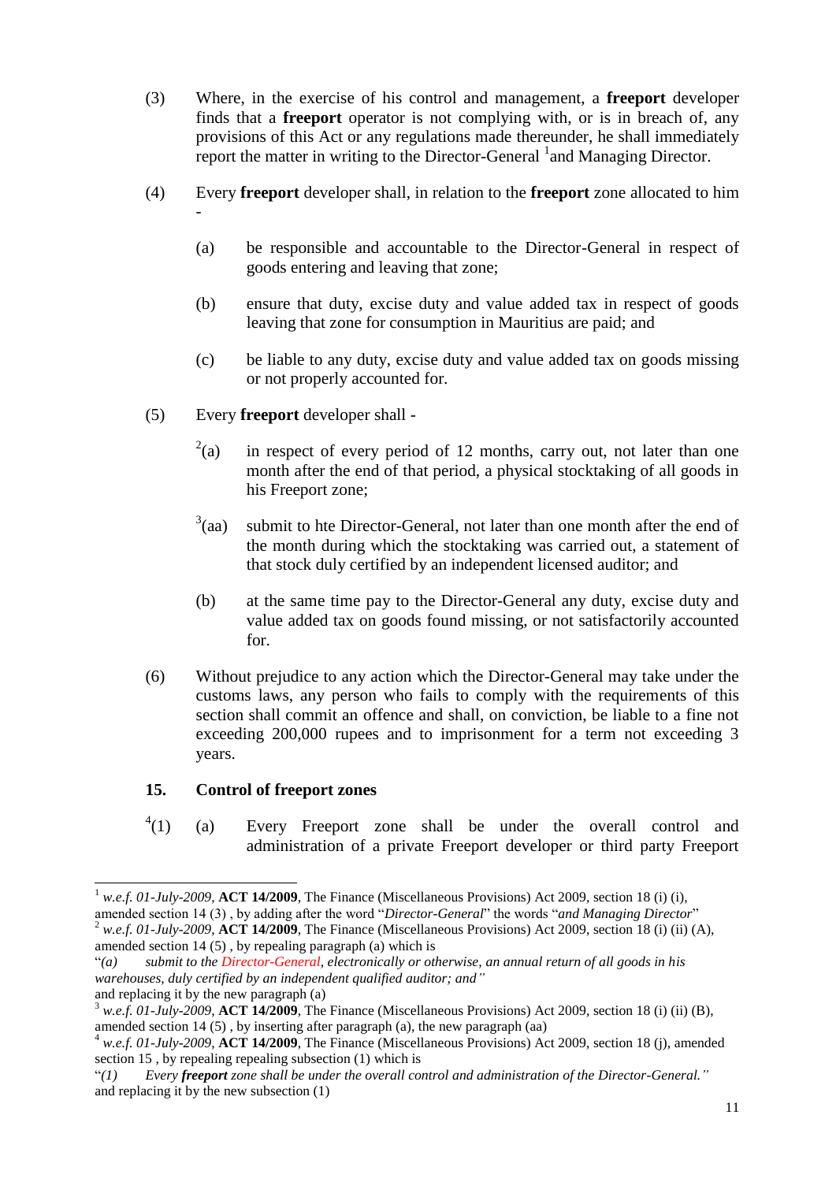- (3) Where, in the exercise of his control and management, a **freeport** developer finds that a **freeport** operator is not complying with, or is in breach of, any provisions of this Act or any regulations made thereunder, he shall immediately report the matter in writing to the Director-General <sup>1</sup> and Managing Director.
- (4) Every **freeport** developer shall, in relation to the **freeport** zone allocated to him -
	- (a) be responsible and accountable to the Director-General in respect of goods entering and leaving that zone;
	- (b) ensure that duty, excise duty and value added tax in respect of goods leaving that zone for consumption in Mauritius are paid; and
	- (c) be liable to any duty, excise duty and value added tax on goods missing or not properly accounted for.
- (5) Every **freeport** developer shall
	- $^{2}$ (a) in respect of every period of 12 months, carry out, not later than one month after the end of that period, a physical stocktaking of all goods in his Freeport zone;
	- $3$ (aa) submit to hte Director-General, not later than one month after the end of the month during which the stocktaking was carried out, a statement of that stock duly certified by an independent licensed auditor; and
	- (b) at the same time pay to the Director-General any duty, excise duty and value added tax on goods found missing, or not satisfactorily accounted for.
- (6) Without prejudice to any action which the Director-General may take under the customs laws, any person who fails to comply with the requirements of this section shall commit an offence and shall, on conviction, be liable to a fine not exceeding 200,000 rupees and to imprisonment for a term not exceeding 3 years.

### <span id="page-10-0"></span>**15. Control of freeport zones**

 $^{4}(1)$ (a) Every Freeport zone shall be under the overall control and administration of a private Freeport developer or third party Freeport

l <sup>1</sup> *w.e.f. 01-July-2009*, **ACT 14/2009**, The Finance (Miscellaneous Provisions) Act 2009, section 18 (i) (i),

amended section 14 (3) , by adding after the word "*Director-General*" the words "*and Managing Director*"

<sup>2</sup> *w.e.f. 01-July-2009*, **ACT 14/2009**, The Finance (Miscellaneous Provisions) Act 2009, section 18 (i) (ii) (A), amended section 14 (5) , by repealing paragraph (a) which is

<sup>&</sup>quot;*(a) submit to the Director-General, electronically or otherwise, an annual return of all goods in his warehouses, duly certified by an independent qualified auditor; and"*  and replacing it by the new paragraph (a)

<sup>3</sup> *w.e.f. 01-July-2009*, **ACT 14/2009**, The Finance (Miscellaneous Provisions) Act 2009, section 18 (i) (ii) (B), amended section 14 (5) , by inserting after paragraph (a), the new paragraph (aa)

<sup>4</sup> *w.e.f. 01-July-2009*, **ACT 14/2009**, The Finance (Miscellaneous Provisions) Act 2009, section 18 (j), amended section 15 , by repealing repealing subsection (1) which is

<sup>&</sup>quot;*(1) Every freeport zone shall be under the overall control and administration of the Director-General."* and replacing it by the new subsection (1)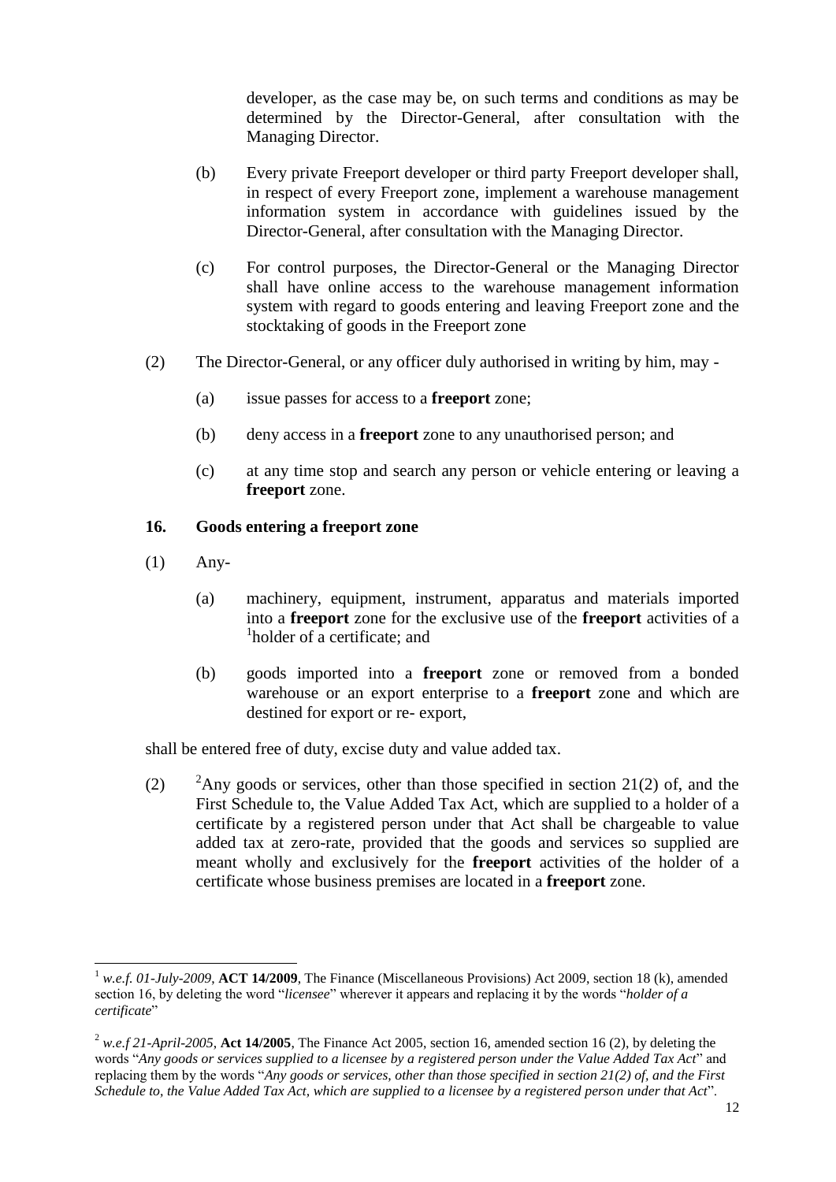developer, as the case may be, on such terms and conditions as may be determined by the Director-General, after consultation with the Managing Director.

- (b) Every private Freeport developer or third party Freeport developer shall, in respect of every Freeport zone, implement a warehouse management information system in accordance with guidelines issued by the Director-General, after consultation with the Managing Director.
- (c) For control purposes, the Director-General or the Managing Director shall have online access to the warehouse management information system with regard to goods entering and leaving Freeport zone and the stocktaking of goods in the Freeport zone
- (2) The Director-General, or any officer duly authorised in writing by him, may
	- (a) issue passes for access to a **freeport** zone;
	- (b) deny access in a **freeport** zone to any unauthorised person; and
	- (c) at any time stop and search any person or vehicle entering or leaving a **freeport** zone.

## <span id="page-11-0"></span>**16. Goods entering a freeport zone**

(1) Any-

 $\overline{\phantom{a}}$ 

- (a) machinery, equipment, instrument, apparatus and materials imported into a **freeport** zone for the exclusive use of the **freeport** activities of a <sup>1</sup>holder of a certificate; and
- (b) goods imported into a **freeport** zone or removed from a bonded warehouse or an export enterprise to a **freeport** zone and which are destined for export or re- export,

shall be entered free of duty, excise duty and value added tax.

(2) <sup>2</sup>Any goods or services, other than those specified in section 21(2) of, and the First Schedule to, the Value Added Tax Act, which are supplied to a holder of a certificate by a registered person under that Act shall be chargeable to value added tax at zero-rate, provided that the goods and services so supplied are meant wholly and exclusively for the **freeport** activities of the holder of a certificate whose business premises are located in a **freeport** zone.

<sup>1</sup> *w.e.f. 01-July-2009*, **ACT 14/2009**, The Finance (Miscellaneous Provisions) Act 2009, section 18 (k), amended section 16, by deleting the word "*licensee*" wherever it appears and replacing it by the words "*holder of a certificate*"

 $^{2}$  *w.e.f 21-April-2005*, Act 14/2005, The Finance Act 2005, section 16, amended section 16 (2), by deleting the words "*Any goods or services supplied to a licensee by a registered person under the Value Added Tax Act*" and replacing them by the words "*Any goods or services, other than those specified in section 21(2) of, and the First Schedule to, the Value Added Tax Act, which are supplied to a licensee by a registered person under that Act*".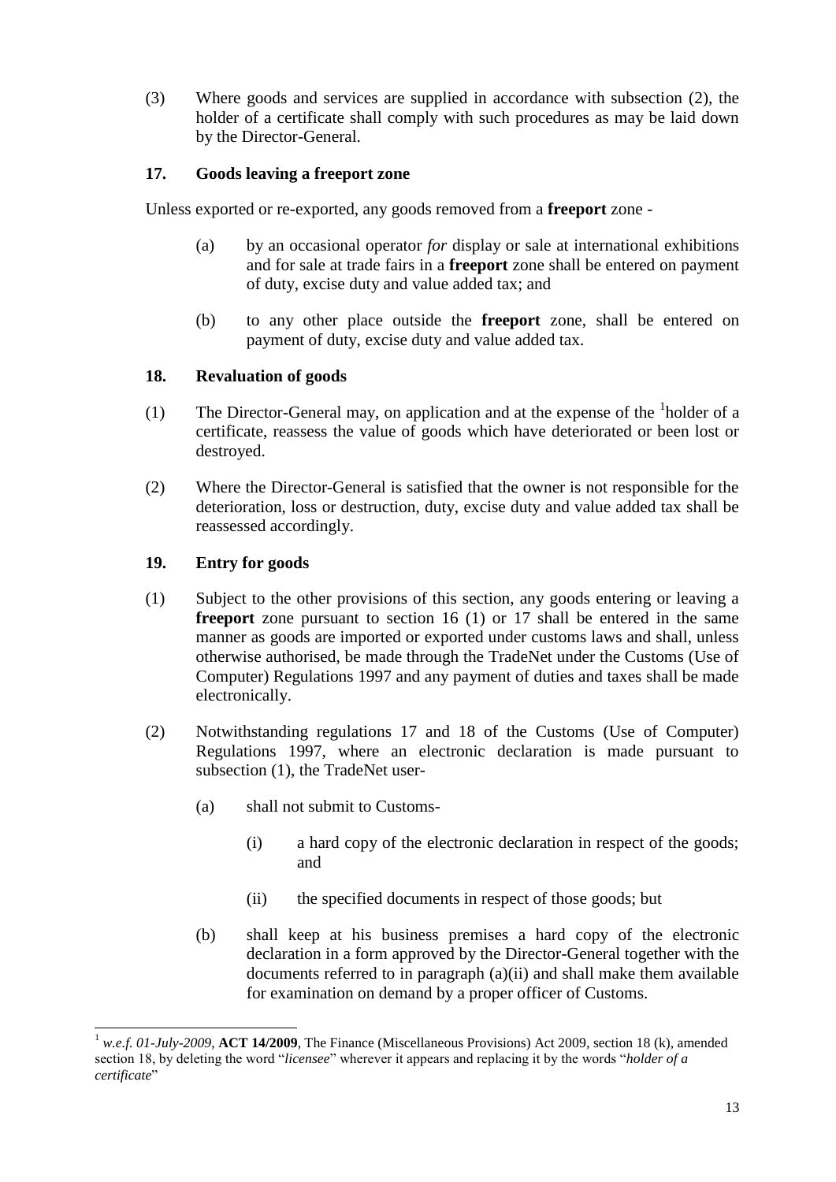(3) Where goods and services are supplied in accordance with subsection (2), the holder of a certificate shall comply with such procedures as may be laid down by the Director-General.

# <span id="page-12-0"></span>**17. Goods leaving a freeport zone**

Unless exported or re-exported, any goods removed from a **freeport** zone -

- (a) by an occasional operator *for* display or sale at international exhibitions and for sale at trade fairs in a **freeport** zone shall be entered on payment of duty, excise duty and value added tax; and
- (b) to any other place outside the **freeport** zone, shall be entered on payment of duty, excise duty and value added tax.

# <span id="page-12-1"></span>**18. Revaluation of goods**

- (1) The Director-General may, on application and at the expense of the  $\frac{1}{1}$ holder of a certificate, reassess the value of goods which have deteriorated or been lost or destroyed.
- (2) Where the Director-General is satisfied that the owner is not responsible for the deterioration, loss or destruction, duty, excise duty and value added tax shall be reassessed accordingly.

# <span id="page-12-2"></span>**19. Entry for goods**

- (1) Subject to the other provisions of this section, any goods entering or leaving a **freeport** zone pursuant to section 16 (1) or 17 shall be entered in the same manner as goods are imported or exported under customs laws and shall, unless otherwise authorised, be made through the TradeNet under the Customs (Use of Computer) Regulations 1997 and any payment of duties and taxes shall be made electronically.
- (2) Notwithstanding regulations 17 and 18 of the Customs (Use of Computer) Regulations 1997, where an electronic declaration is made pursuant to subsection (1), the TradeNet user-
	- (a) shall not submit to Customs-
		- (i) a hard copy of the electronic declaration in respect of the goods; and
		- (ii) the specified documents in respect of those goods; but
	- (b) shall keep at his business premises a hard copy of the electronic declaration in a form approved by the Director-General together with the documents referred to in paragraph (a)(ii) and shall make them available for examination on demand by a proper officer of Customs.

 $\overline{\phantom{a}}$ <sup>1</sup> *w.e.f. 01-July-2009*, **ACT 14/2009**, The Finance (Miscellaneous Provisions) Act 2009, section 18 (k), amended section 18, by deleting the word "*licensee*" wherever it appears and replacing it by the words "*holder of a certificate*"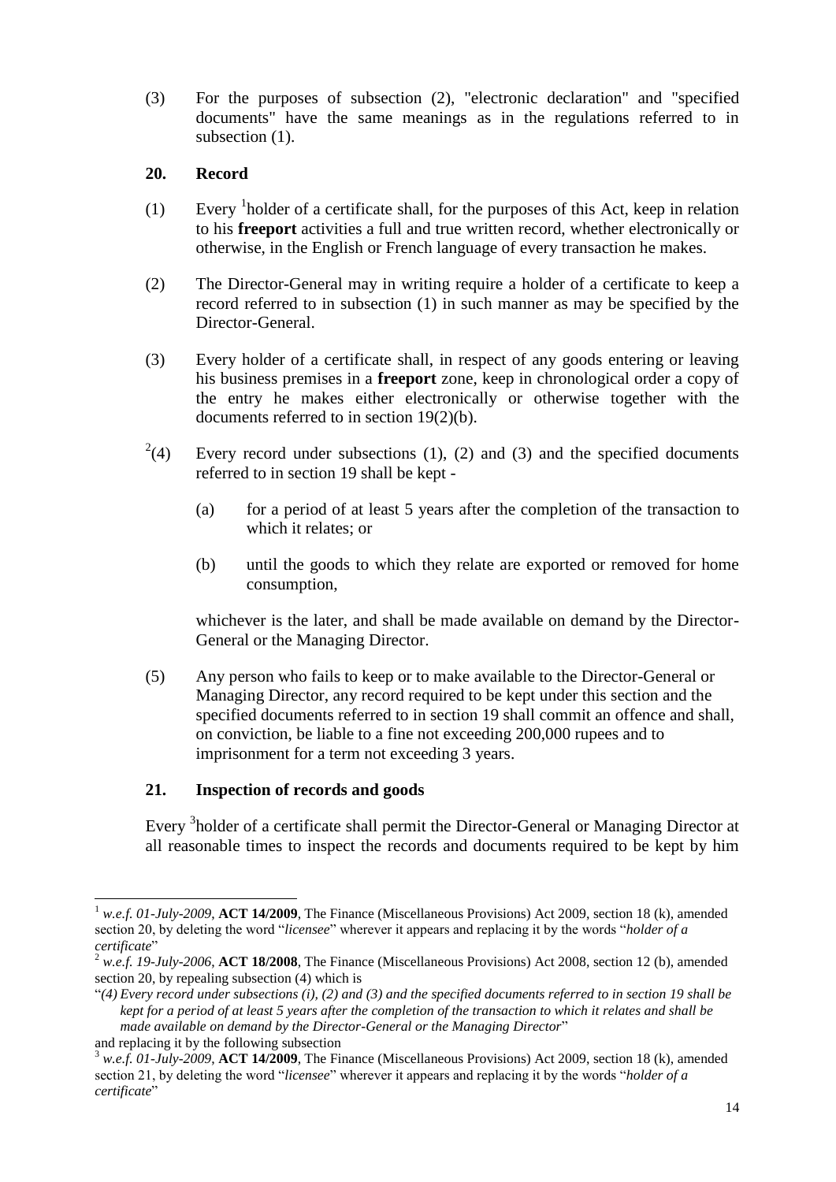(3) For the purposes of subsection (2), "electronic declaration" and "specified documents" have the same meanings as in the regulations referred to in subsection  $(1)$ .

## <span id="page-13-0"></span>**20. Record**

- (1) Every  $\frac{1}{1}$  holder of a certificate shall, for the purposes of this Act, keep in relation to his **freeport** activities a full and true written record, whether electronically or otherwise, in the English or French language of every transaction he makes.
- (2) The Director-General may in writing require a holder of a certificate to keep a record referred to in subsection (1) in such manner as may be specified by the Director-General.
- (3) Every holder of a certificate shall, in respect of any goods entering or leaving his business premises in a **freeport** zone, keep in chronological order a copy of the entry he makes either electronically or otherwise together with the documents referred to in section 19(2)(b).
- $^{2}(4)$ Every record under subsections  $(1)$ ,  $(2)$  and  $(3)$  and the specified documents referred to in section 19 shall be kept -
	- (a) for a period of at least 5 years after the completion of the transaction to which it relates; or
	- (b) until the goods to which they relate are exported or removed for home consumption,

whichever is the later, and shall be made available on demand by the Director-General or the Managing Director.

(5) Any person who fails to keep or to make available to the Director-General or Managing Director, any record required to be kept under this section and the specified documents referred to in section 19 shall commit an offence and shall, on conviction, be liable to a fine not exceeding 200,000 rupees and to imprisonment for a term not exceeding 3 years.

# <span id="page-13-1"></span>**21. Inspection of records and goods**

Every <sup>3</sup>holder of a certificate shall permit the Director-General or Managing Director at all reasonable times to inspect the records and documents required to be kept by him

 $\overline{a}$ <sup>1</sup> *w.e.f. 01-July-2009*, **ACT 14/2009**, The Finance (Miscellaneous Provisions) Act 2009, section 18 (k), amended section 20, by deleting the word "*licensee*" wherever it appears and replacing it by the words "*holder of a certificate*"

<sup>2</sup> *w.e.f. 19-July-2006*, **ACT 18/2008**, The Finance (Miscellaneous Provisions) Act 2008, section 12 (b), amended section 20, by repealing subsection (4) which is

<sup>&</sup>quot;*(4) Every record under subsections (i), (2) and (3) and the specified documents referred to in section 19 shall be kept for a period of at least 5 years after the completion of the transaction to which it relates and shall be made available on demand by the Director-General or the Managing Director*" and replacing it by the following subsection

<sup>3</sup> *w.e.f. 01-July-2009*, **ACT 14/2009**, The Finance (Miscellaneous Provisions) Act 2009, section 18 (k), amended section 21, by deleting the word "*licensee*" wherever it appears and replacing it by the words "*holder of a certificate*"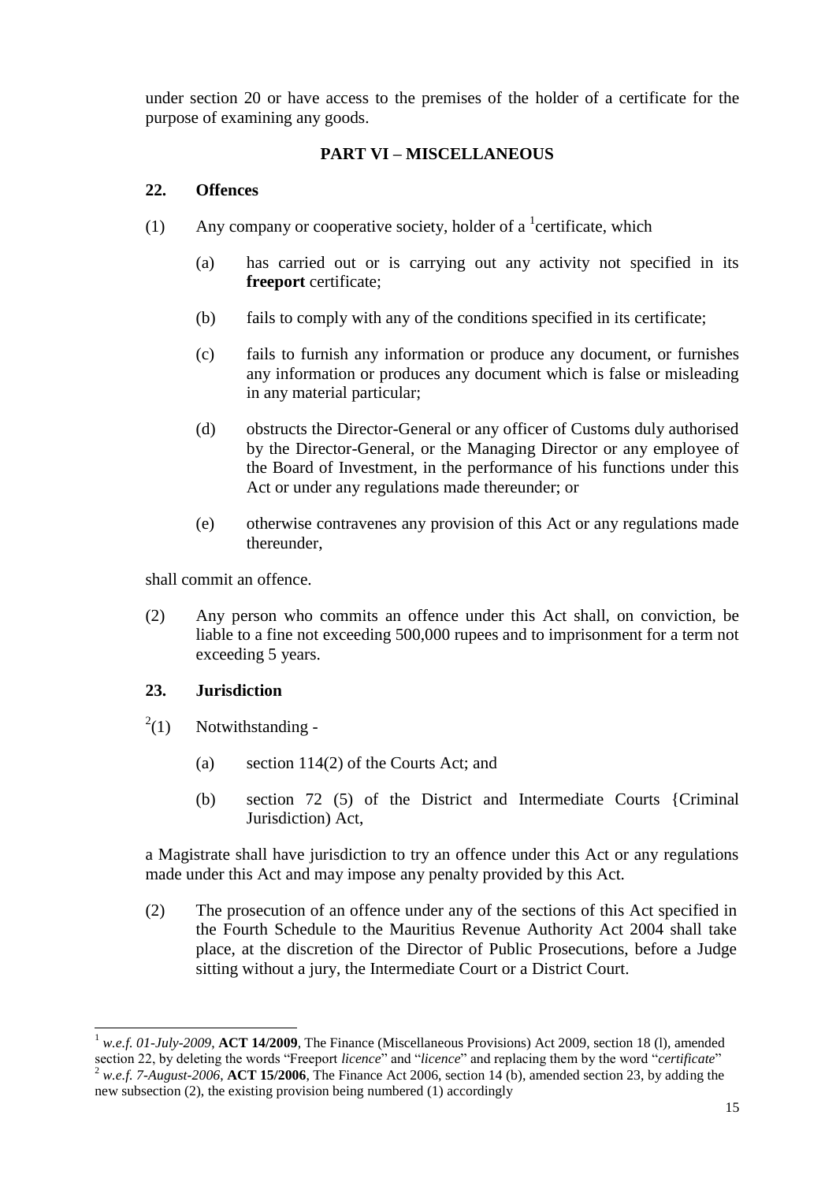under section 20 or have access to the premises of the holder of a certificate for the purpose of examining any goods.

# **PART VI – MISCELLANEOUS**

## <span id="page-14-1"></span><span id="page-14-0"></span>**22. Offences**

- (1) Any company or cooperative society, holder of a  ${}^{1}$ certificate, which
	- (a) has carried out or is carrying out any activity not specified in its **freeport** certificate;
	- (b) fails to comply with any of the conditions specified in its certificate;
	- (c) fails to furnish any information or produce any document, or furnishes any information or produces any document which is false or misleading in any material particular;
	- (d) obstructs the Director-General or any officer of Customs duly authorised by the Director-General, or the Managing Director or any employee of the Board of Investment, in the performance of his functions under this Act or under any regulations made thereunder; or
	- (e) otherwise contravenes any provision of this Act or any regulations made thereunder,

shall commit an offence.

(2) Any person who commits an offence under this Act shall, on conviction, be liable to a fine not exceeding 500,000 rupees and to imprisonment for a term not exceeding 5 years.

# <span id="page-14-2"></span>**23. Jurisdiction**

 $\overline{\phantom{a}}$ 

- $^{2}(1)$ Notwithstanding -
	- (a) section 114(2) of the Courts Act; and
	- (b) section 72 (5) of the District and Intermediate Courts {Criminal Jurisdiction) Act,

a Magistrate shall have jurisdiction to try an offence under this Act or any regulations made under this Act and may impose any penalty provided by this Act.

(2) The prosecution of an offence under any of the sections of this Act specified in the Fourth Schedule to the Mauritius Revenue Authority Act 2004 shall take place, at the discretion of the Director of Public Prosecutions, before a Judge sitting without a jury, the Intermediate Court or a District Court.

<sup>&</sup>lt;sup>1</sup> *w.e.f. 01-July-2009*, **ACT 14/2009**, The Finance (Miscellaneous Provisions) Act 2009, section 18 (1), amended section 22, by deleting the words "Freeport *licence*" and "*licence*" and replacing them by the word "*certificate*" <sup>2</sup> *w.e.f. 7-August-2006*, **ACT 15/2006**, The Finance Act 2006, section 14 (b), amended section 23, by adding the new subsection (2), the existing provision being numbered (1) accordingly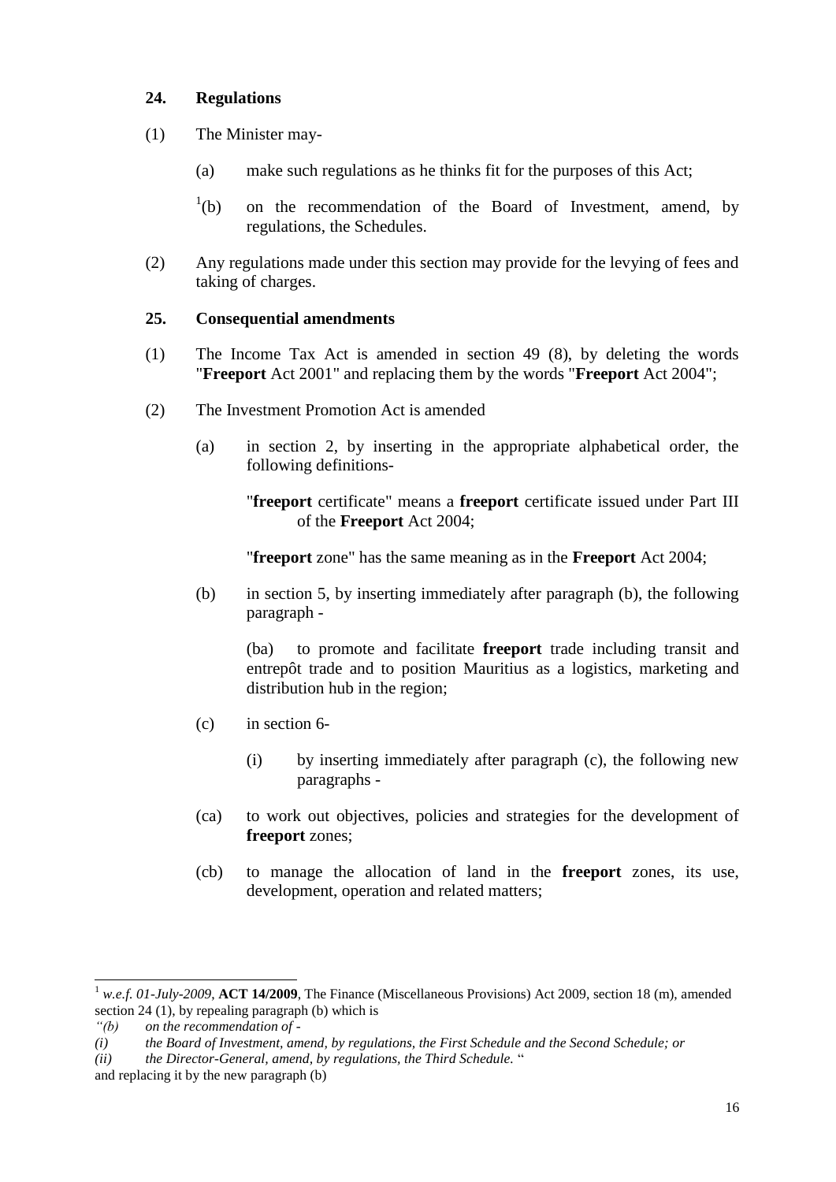# <span id="page-15-0"></span>**24. Regulations**

- (1) The Minister may-
	- (a) make such regulations as he thinks fit for the purposes of this Act;
	- $\mathrm{^{1}(b)}$ on the recommendation of the Board of Investment, amend, by regulations, the Schedules.
- (2) Any regulations made under this section may provide for the levying of fees and taking of charges.

# <span id="page-15-1"></span>**25. Consequential amendments**

- (1) The Income Tax Act is amended in section 49 (8), by deleting the words "**Freeport** Act 2001" and replacing them by the words "**Freeport** Act 2004";
- (2) The Investment Promotion Act is amended
	- (a) in section 2, by inserting in the appropriate alphabetical order, the following definitions-

"**freeport** certificate" means a **freeport** certificate issued under Part III of the **Freeport** Act 2004;

"**freeport** zone" has the same meaning as in the **Freeport** Act 2004;

(b) in section 5, by inserting immediately after paragraph (b), the following paragraph -

(ba) to promote and facilitate **freeport** trade including transit and entrepôt trade and to position Mauritius as a logistics, marketing and distribution hub in the region;

- (c) in section 6-
	- (i) by inserting immediately after paragraph (c), the following new paragraphs -
- (ca) to work out objectives, policies and strategies for the development of **freeport** zones;
- (cb) to manage the allocation of land in the **freeport** zones, its use, development, operation and related matters;

l

<sup>1</sup> *w.e.f. 01-July-2009*, **ACT 14/2009**, The Finance (Miscellaneous Provisions) Act 2009, section 18 (m), amended section 24 (1), by repealing paragraph (b) which is

*<sup>&</sup>quot;(b) on the recommendation of -*

*<sup>(</sup>i) the Board of Investment, amend, by regulations, the First Schedule and the Second Schedule; or* 

*<sup>(</sup>ii) the Director-General, amend, by regulations, the Third Schedule.* "

and replacing it by the new paragraph (b)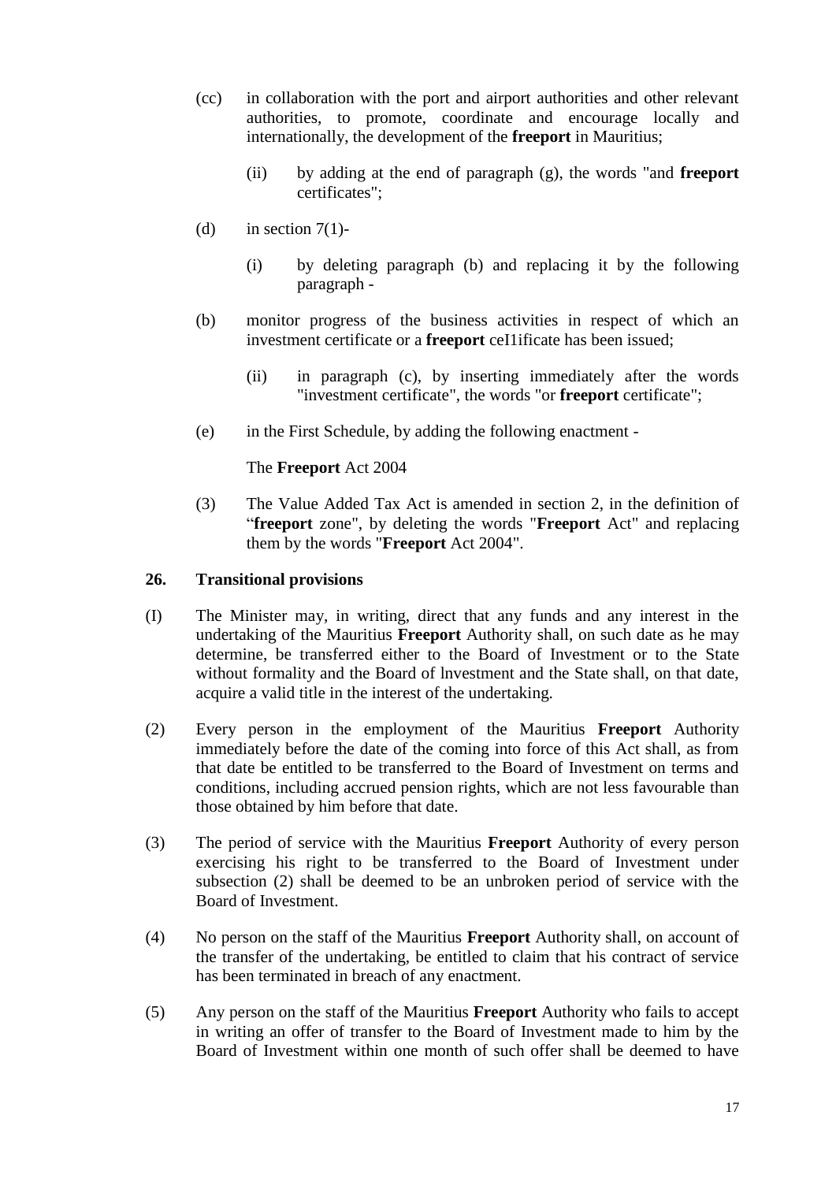- (cc) in collaboration with the port and airport authorities and other relevant authorities, to promote, coordinate and encourage locally and internationally, the development of the **freeport** in Mauritius;
	- (ii) by adding at the end of paragraph (g), the words "and **freeport** certificates";
- (d) in section  $7(1)$ -
	- (i) by deleting paragraph (b) and replacing it by the following paragraph -
- (b) monitor progress of the business activities in respect of which an investment certificate or a **freeport** ceI1ificate has been issued;
	- (ii) in paragraph (c), by inserting immediately after the words "investment certificate", the words "or **freeport** certificate";
- (e) in the First Schedule, by adding the following enactment -

The **Freeport** Act 2004

(3) The Value Added Tax Act is amended in section 2, in the definition of "**freeport** zone", by deleting the words "**Freeport** Act" and replacing them by the words "**Freeport** Act 2004".

#### <span id="page-16-0"></span>**26. Transitional provisions**

- (I) The Minister may, in writing, direct that any funds and any interest in the undertaking of the Mauritius **Freeport** Authority shall, on such date as he may determine, be transferred either to the Board of Investment or to the State without formality and the Board of lnvestment and the State shall, on that date, acquire a valid title in the interest of the undertaking.
- (2) Every person in the employment of the Mauritius **Freeport** Authority immediately before the date of the coming into force of this Act shall, as from that date be entitled to be transferred to the Board of Investment on terms and conditions, including accrued pension rights, which are not less favourable than those obtained by him before that date.
- (3) The period of service with the Mauritius **Freeport** Authority of every person exercising his right to be transferred to the Board of Investment under subsection (2) shall be deemed to be an unbroken period of service with the Board of Investment.
- (4) No person on the staff of the Mauritius **Freeport** Authority shall, on account of the transfer of the undertaking, be entitled to claim that his contract of service has been terminated in breach of any enactment.
- (5) Any person on the staff of the Mauritius **Freeport** Authority who fails to accept in writing an offer of transfer to the Board of Investment made to him by the Board of Investment within one month of such offer shall be deemed to have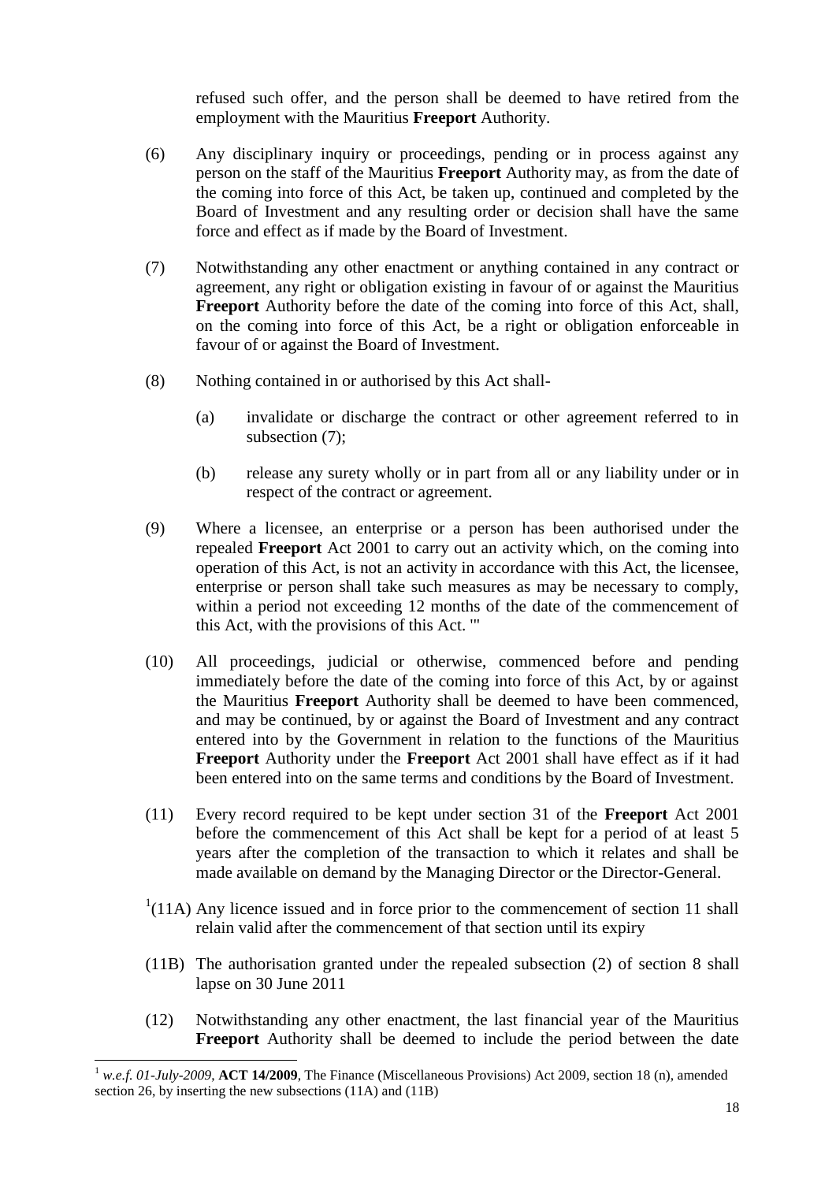refused such offer, and the person shall be deemed to have retired from the employment with the Mauritius **Freeport** Authority.

- (6) Any disciplinary inquiry or proceedings, pending or in process against any person on the staff of the Mauritius **Freeport** Authority may, as from the date of the coming into force of this Act, be taken up, continued and completed by the Board of Investment and any resulting order or decision shall have the same force and effect as if made by the Board of Investment.
- (7) Notwithstanding any other enactment or anything contained in any contract or agreement, any right or obligation existing in favour of or against the Mauritius **Freeport** Authority before the date of the coming into force of this Act, shall, on the coming into force of this Act, be a right or obligation enforceable in favour of or against the Board of Investment.
- (8) Nothing contained in or authorised by this Act shall-
	- (a) invalidate or discharge the contract or other agreement referred to in subsection  $(7)$ ;
	- (b) release any surety wholly or in part from all or any liability under or in respect of the contract or agreement.
- (9) Where a licensee, an enterprise or a person has been authorised under the repealed **Freeport** Act 2001 to carry out an activity which, on the coming into operation of this Act, is not an activity in accordance with this Act, the licensee, enterprise or person shall take such measures as may be necessary to comply, within a period not exceeding 12 months of the date of the commencement of this Act, with the provisions of this Act. '"
- (10) All proceedings, judicial or otherwise, commenced before and pending immediately before the date of the coming into force of this Act, by or against the Mauritius **Freeport** Authority shall be deemed to have been commenced, and may be continued, by or against the Board of Investment and any contract entered into by the Government in relation to the functions of the Mauritius **Freeport** Authority under the **Freeport** Act 2001 shall have effect as if it had been entered into on the same terms and conditions by the Board of Investment.
- (11) Every record required to be kept under section 31 of the **Freeport** Act 2001 before the commencement of this Act shall be kept for a period of at least 5 years after the completion of the transaction to which it relates and shall be made available on demand by the Managing Director or the Director-General.
- $<sup>1</sup>(11A)$  Any licence issued and in force prior to the commencement of section 11 shall</sup> relain valid after the commencement of that section until its expiry
- (11B) The authorisation granted under the repealed subsection (2) of section 8 shall lapse on 30 June 2011
- (12) Notwithstanding any other enactment, the last financial year of the Mauritius **Freeport** Authority shall be deemed to include the period between the date

<sup>1</sup> *w.e.f. 01-July-2009*, **ACT 14/2009**, The Finance (Miscellaneous Provisions) Act 2009, section 18 (n), amended section 26, by inserting the new subsections (11A) and (11B)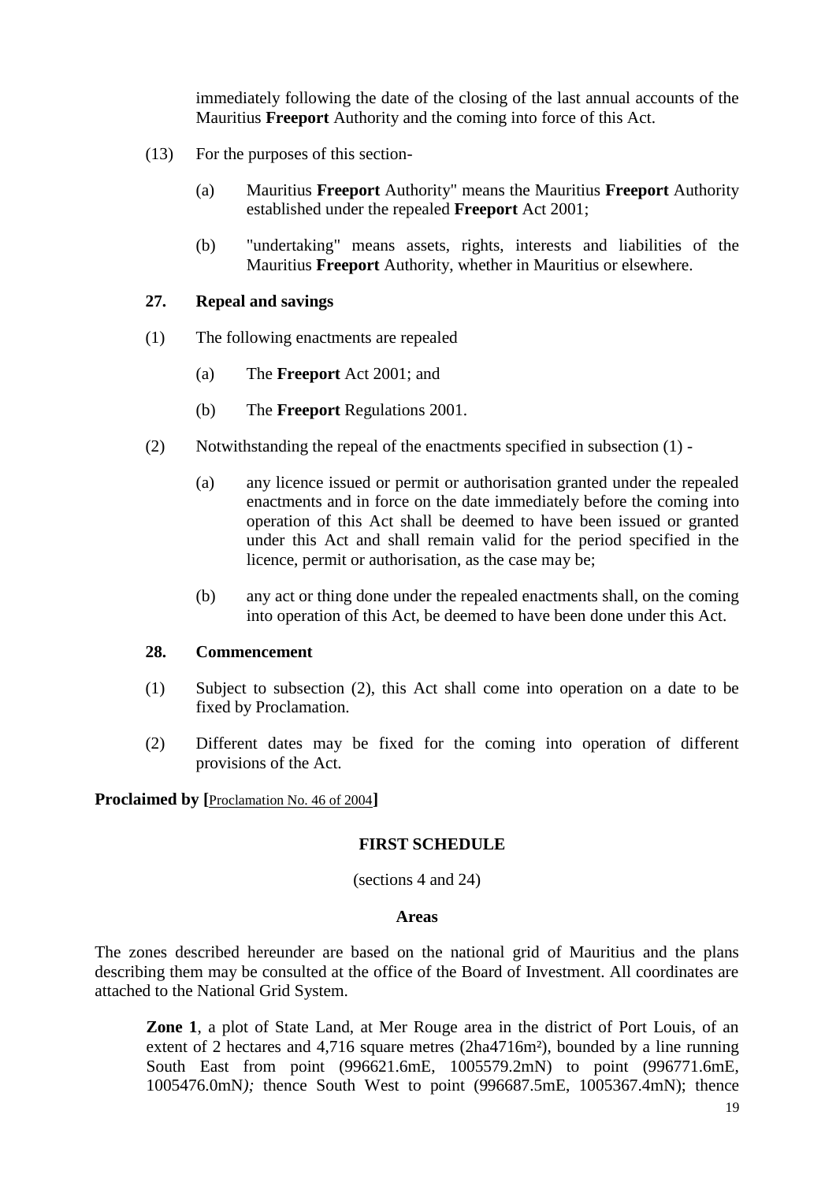immediately following the date of the closing of the last annual accounts of the Mauritius **Freeport** Authority and the coming into force of this Act.

- (13) For the purposes of this section-
	- (a) Mauritius **Freeport** Authority" means the Mauritius **Freeport** Authority established under the repealed **Freeport** Act 2001;
	- (b) "undertaking" means assets, rights, interests and liabilities of the Mauritius **Freeport** Authority, whether in Mauritius or elsewhere.

#### <span id="page-18-0"></span>**27. Repeal and savings**

- (1) The following enactments are repealed
	- (a) The **Freeport** Act 2001; and
	- (b) The **Freeport** Regulations 2001.
- (2) Notwithstanding the repeal of the enactments specified in subsection (1)
	- (a) any licence issued or permit or authorisation granted under the repealed enactments and in force on the date immediately before the coming into operation of this Act shall be deemed to have been issued or granted under this Act and shall remain valid for the period specified in the licence, permit or authorisation, as the case may be;
	- (b) any act or thing done under the repealed enactments shall, on the coming into operation of this Act, be deemed to have been done under this Act.

#### <span id="page-18-1"></span>**28. Commencement**

- (1) Subject to subsection (2), this Act shall come into operation on a date to be fixed by Proclamation.
- (2) Different dates may be fixed for the coming into operation of different provisions of the Act.

<span id="page-18-2"></span>**Proclaimed by [**[Proclamation No. 46 of 2004](http://supremecourt.intnet.mu/Main/GetDoc.asp?Doc_Title=Proclamation+No.+46+of+2004&Mode=Html&Search=No)**]**

#### **FIRST SCHEDULE**

(sections 4 and 24)

#### **Areas**

The zones described hereunder are based on the national grid of Mauritius and the plans describing them may be consulted at the office of the Board of Investment. All coordinates are attached to the National Grid System.

**Zone 1**, a plot of State Land, at Mer Rouge area in the district of Port Louis, of an extent of 2 hectares and 4,716 square metres (2ha4716m²), bounded by a line running South East from point (996621.6mE, 1005579.2mN) to point (996771.6mE, 1005476.0mN*);* thence South West to point (996687.5mE, 1005367.4mN); thence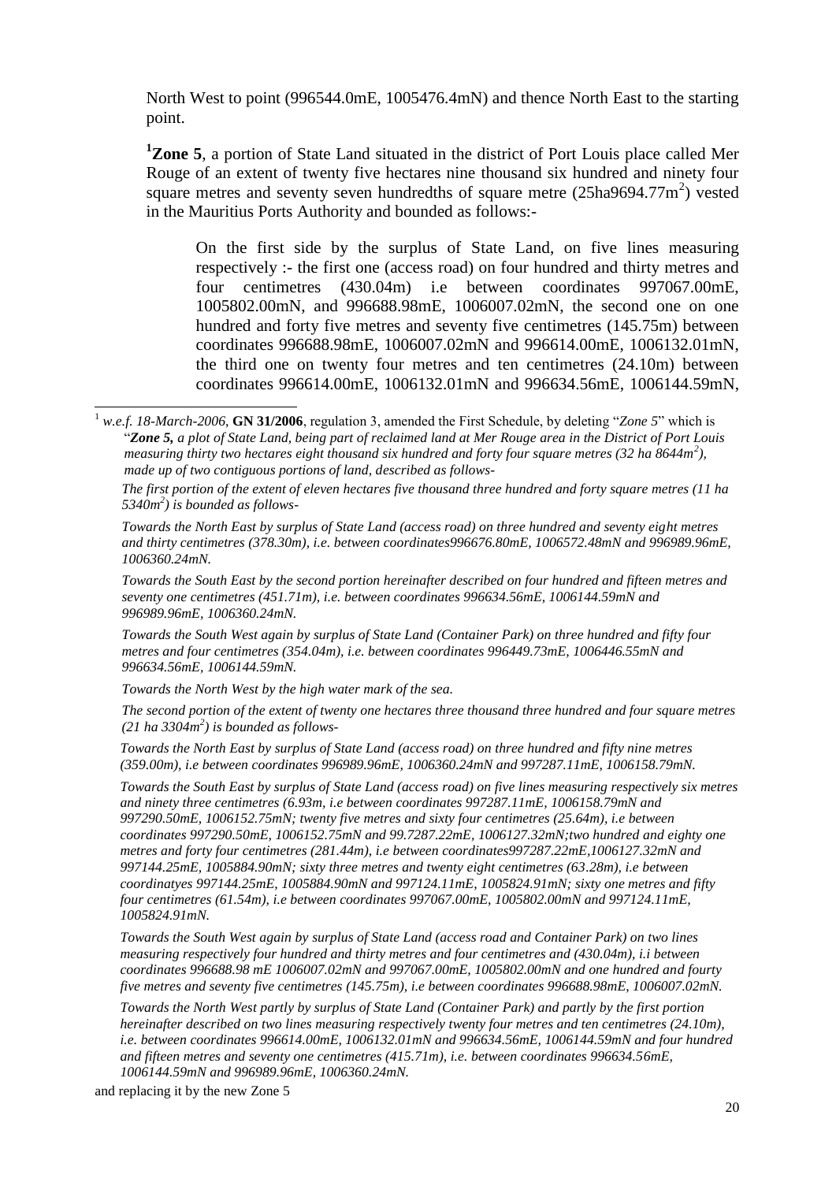North West to point (996544.0mE, 1005476.4mN) and thence North East to the starting point.

**<sup>1</sup>Zone 5**, a portion of State Land situated in the district of Port Louis place called Mer Rouge of an extent of twenty five hectares nine thousand six hundred and ninety four square metres and seventy seven hundredths of square metre  $(25ha9694.77m^2)$  vested in the Mauritius Ports Authority and bounded as follows:-

On the first side by the surplus of State Land, on five lines measuring respectively :- the first one (access road) on four hundred and thirty metres and four centimetres (430.04m) i.e between coordinates 997067.00mE, 1005802.00mN, and 996688.98mE, 1006007.02mN, the second one on one hundred and forty five metres and seventy five centimetres (145.75m) between coordinates 996688.98mE, 1006007.02mN and 996614.00mE, 1006132.01mN, the third one on twenty four metres and ten centimetres (24.10m) between coordinates 996614.00mE, 1006132.01mN and 996634.56mE, 1006144.59mN,

*The first portion of the extent of eleven hectares five thousand three hundred and forty square metres (11 ha 5340m<sup>2</sup> ) is bounded as follows-*

*Towards the North East by surplus of State Land (access road) on three hundred and seventy eight metres and thirty centimetres (378.30m), i.e. between coordinates996676.80mE, 1006572.48mN and 996989.96mE, 1006360.24mN.*

*Towards the South East by the second portion hereinafter described on four hundred and fifteen metres and seventy one centimetres (451.71m), i.e. between coordinates 996634.56mE, 1006144.59mN and 996989.96mE, 1006360.24mN.*

*Towards the South West again by surplus of State Land (Container Park) on three hundred and fifty four metres and four centimetres (354.04m), i.e. between coordinates 996449.73mE, 1006446.55mN and 996634.56mE, 1006144.59mN.*

*Towards the North West by the high water mark of the sea.*

*The second portion of the extent of twenty one hectares three thousand three hundred and four square metres (21 ha 3304m<sup>2</sup> ) is bounded as follows-*

*Towards the North East by surplus of State Land (access road) on three hundred and fifty nine metres (359.00m), i.e between coordinates 996989.96mE, 1006360.24mN and 997287.11mE, 1006158.79mN.*

*Towards the South East by surplus of State Land (access road) on five lines measuring respectively six metres and ninety three centimetres (6.93m, i.e between coordinates 997287.11mE, 1006158.79mN and 997290.50mE, 1006152.75mN; twenty five metres and sixty four centimetres (25.64m), i.e between coordinates 997290.50mE, 1006152.75mN and 99.7287.22mE, 1006127.32mN;two hundred and eighty one metres and forty four centimetres (281.44m), i.e between coordinates997287.22mE,1006127.32mN and 997144.25mE, 1005884.90mN; sixty three metres and twenty eight centimetres (63.28m), i.e between coordinatyes 997144.25mE, 1005884.90mN and 997124.11mE, 1005824.91mN; sixty one metres and fifty four centimetres (61.54m), i.e between coordinates 997067.00mE, 1005802.00mN and 997124.11mE, 1005824.91mN.*

*Towards the South West again by surplus of State Land (access road and Container Park) on two lines measuring respectively four hundred and thirty metres and four centimetres and (430.04m), i.i between coordinates 996688.98 mE 1006007.02mN and 997067.00mE, 1005802.00mN and one hundred and fourty five metres and seventy five centimetres (145.75m), i.e between coordinates 996688.98mE, 1006007.02mN.*

*Towards the North West partly by surplus of State Land (Container Park) and partly by the first portion hereinafter described on two lines measuring respectively twenty four metres and ten centimetres (24.10m), i.e. between coordinates 996614.00mE, 1006132.01mN and 996634.56mE, 1006144.59mN and four hundred and fifteen metres and seventy one centimetres (415.71m), i.e. between coordinates 996634.56mE, 1006144.59mN and 996989.96mE, 1006360.24mN.*

and replacing it by the new Zone 5

 $\overline{a}$ 

<sup>1</sup> *w.e.f. 18-March-2006*, **GN 31/2006**, regulation 3, amended the First Schedule, by deleting "*Zone 5*" which is "*Zone 5, a plot of State Land, being part of reclaimed land at Mer Rouge area in the District of Port Louis measuring thirty two hectares eight thousand six hundred and forty four square metres (32 ha 8644m<sup>2</sup> ), made up of two contiguous portions of land, described as follows-*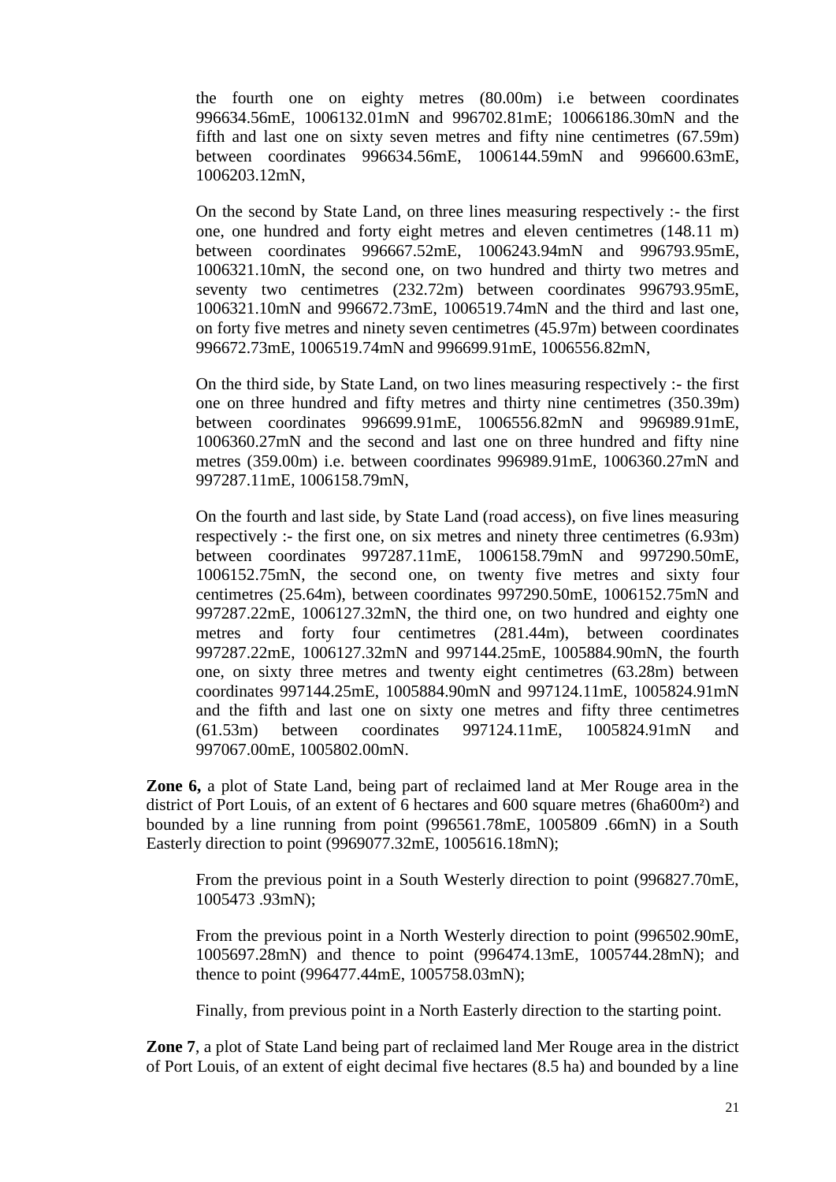the fourth one on eighty metres (80.00m) i.e between coordinates 996634.56mE, 1006132.01mN and 996702.81mE; 10066186.30mN and the fifth and last one on sixty seven metres and fifty nine centimetres (67.59m) between coordinates 996634.56mE, 1006144.59mN and 996600.63mE, 1006203.12mN,

On the second by State Land, on three lines measuring respectively :- the first one, one hundred and forty eight metres and eleven centimetres (148.11 m) between coordinates 996667.52mE, 1006243.94mN and 996793.95mE, 1006321.10mN, the second one, on two hundred and thirty two metres and seventy two centimetres (232.72m) between coordinates 996793.95mE, 1006321.10mN and 996672.73mE, 1006519.74mN and the third and last one, on forty five metres and ninety seven centimetres (45.97m) between coordinates 996672.73mE, 1006519.74mN and 996699.91mE, 1006556.82mN,

On the third side, by State Land, on two lines measuring respectively :- the first one on three hundred and fifty metres and thirty nine centimetres (350.39m) between coordinates 996699.91mE, 1006556.82mN and 996989.91mE, 1006360.27mN and the second and last one on three hundred and fifty nine metres (359.00m) i.e. between coordinates 996989.91mE, 1006360.27mN and 997287.11mE, 1006158.79mN,

On the fourth and last side, by State Land (road access), on five lines measuring respectively :- the first one, on six metres and ninety three centimetres (6.93m) between coordinates 997287.11mE, 1006158.79mN and 997290.50mE, 1006152.75mN, the second one, on twenty five metres and sixty four centimetres (25.64m), between coordinates 997290.50mE, 1006152.75mN and 997287.22mE, 1006127.32mN, the third one, on two hundred and eighty one metres and forty four centimetres (281.44m), between coordinates 997287.22mE, 1006127.32mN and 997144.25mE, 1005884.90mN, the fourth one, on sixty three metres and twenty eight centimetres (63.28m) between coordinates 997144.25mE, 1005884.90mN and 997124.11mE, 1005824.91mN and the fifth and last one on sixty one metres and fifty three centimetres (61.53m) between coordinates 997124.11mE, 1005824.91mN and 997067.00mE, 1005802.00mN.

**Zone 6,** a plot of State Land, being part of reclaimed land at Mer Rouge area in the district of Port Louis, of an extent of 6 hectares and 600 square metres (6ha600m²) and bounded by a line running from point (996561.78mE, 1005809 .66mN) in a South Easterly direction to point (9969077.32mE, 1005616.18mN);

From the previous point in a South Westerly direction to point (996827.70mE, 1005473 .93mN);

From the previous point in a North Westerly direction to point (996502.90mE, 1005697.28mN) and thence to point (996474.13mE, 1005744.28mN); and thence to point (996477.44mE, 1005758.03mN);

Finally, from previous point in a North Easterly direction to the starting point.

**Zone 7**, a plot of State Land being part of reclaimed land Mer Rouge area in the district of Port Louis, of an extent of eight decimal five hectares (8.5 ha) and bounded by a line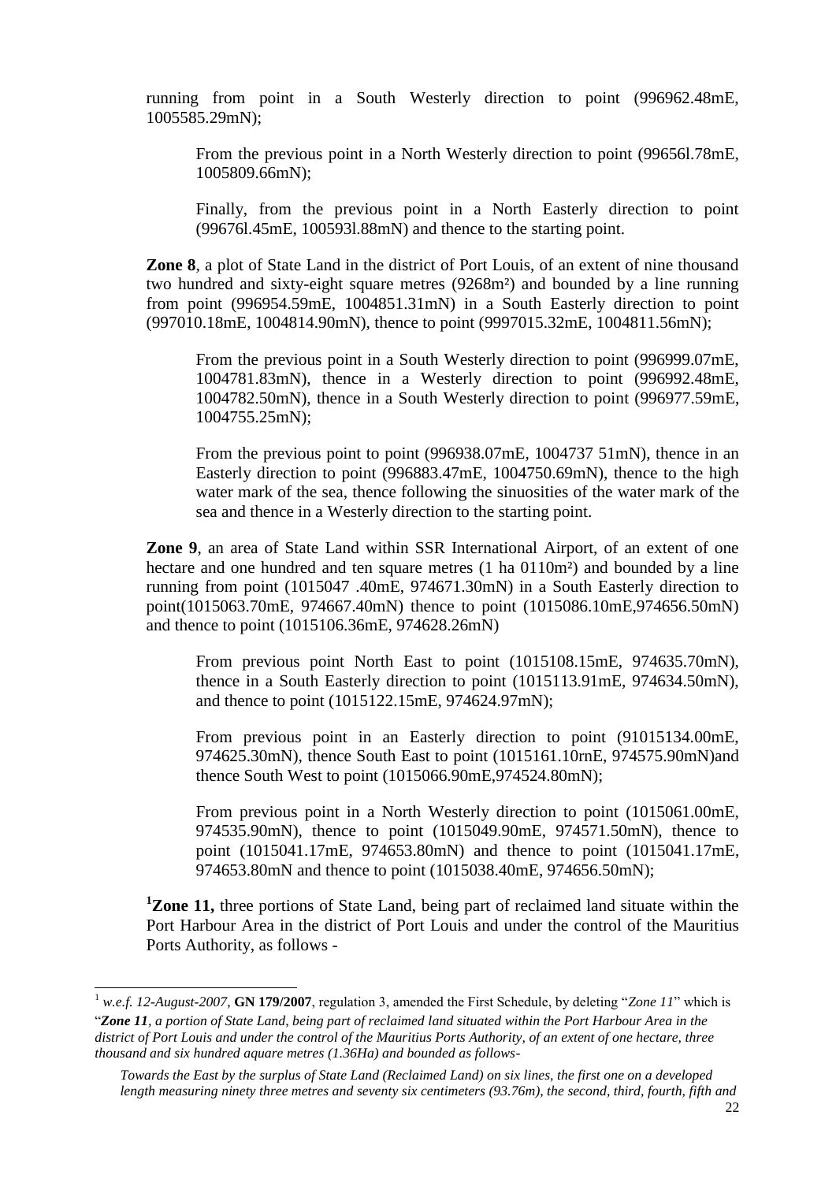running from point in a South Westerly direction to point (996962.48mE, 1005585.29mN);

From the previous point in a North Westerly direction to point (99656l.78mE, 1005809.66mN);

Finally, from the previous point in a North Easterly direction to point (99676l.45mE, 100593l.88mN) and thence to the starting point.

**Zone 8**, a plot of State Land in the district of Port Louis, of an extent of nine thousand two hundred and sixty-eight square metres (9268m²) and bounded by a line running from point (996954.59mE, 1004851.31mN) in a South Easterly direction to point (997010.18mE, 1004814.90mN), thence to point (9997015.32mE, 1004811.56mN);

From the previous point in a South Westerly direction to point (996999.07mE, 1004781.83mN), thence in a Westerly direction to point (996992.48mE, 1004782.50mN), thence in a South Westerly direction to point (996977.59mE, 1004755.25mN);

From the previous point to point (996938.07mE, 1004737 51mN), thence in an Easterly direction to point (996883.47mE, 1004750.69mN), thence to the high water mark of the sea, thence following the sinuosities of the water mark of the sea and thence in a Westerly direction to the starting point.

**Zone 9**, an area of State Land within SSR International Airport, of an extent of one hectare and one hundred and ten square metres (1 ha 0110m<sup>2</sup>) and bounded by a line running from point (1015047 .40mE, 974671.30mN) in a South Easterly direction to point(1015063.70mE, 974667.40mN) thence to point (1015086.10mE,974656.50mN) and thence to point (1015106.36mE, 974628.26mN)

From previous point North East to point (1015108.15mE, 974635.70mN), thence in a South Easterly direction to point (1015113.91mE, 974634.50mN), and thence to point (1015122.15mE, 974624.97mN);

From previous point in an Easterly direction to point (91015134.00mE, 974625.30mN), thence South East to point (1015161.10rnE, 974575.90mN)and thence South West to point (1015066.90mE,974524.80mN);

From previous point in a North Westerly direction to point (1015061.00mE, 974535.90mN), thence to point (1015049.90mE, 974571.50mN), thence to point (1015041.17mE, 974653.80mN) and thence to point (1015041.17mE, 974653.80mN and thence to point (1015038.40mE, 974656.50mN);

<sup>1</sup>**Zone 11,** three portions of State Land, being part of reclaimed land situate within the Port Harbour Area in the district of Port Louis and under the control of the Mauritius Ports Authority, as follows -

 $\overline{a}$ 

<sup>1</sup> *w.e.f. 12-August-2007*, **GN 179/2007**, regulation 3, amended the First Schedule, by deleting "*Zone 11*" which is

<sup>&</sup>quot;*Zone 11, a portion of State Land, being part of reclaimed land situated within the Port Harbour Area in the district of Port Louis and under the control of the Mauritius Ports Authority, of an extent of one hectare, three thousand and six hundred aquare metres (1.36Ha) and bounded as follows-*

*Towards the East by the surplus of State Land (Reclaimed Land) on six lines, the first one on a developed length measuring ninety three metres and seventy six centimeters (93.76m), the second, third, fourth, fifth and*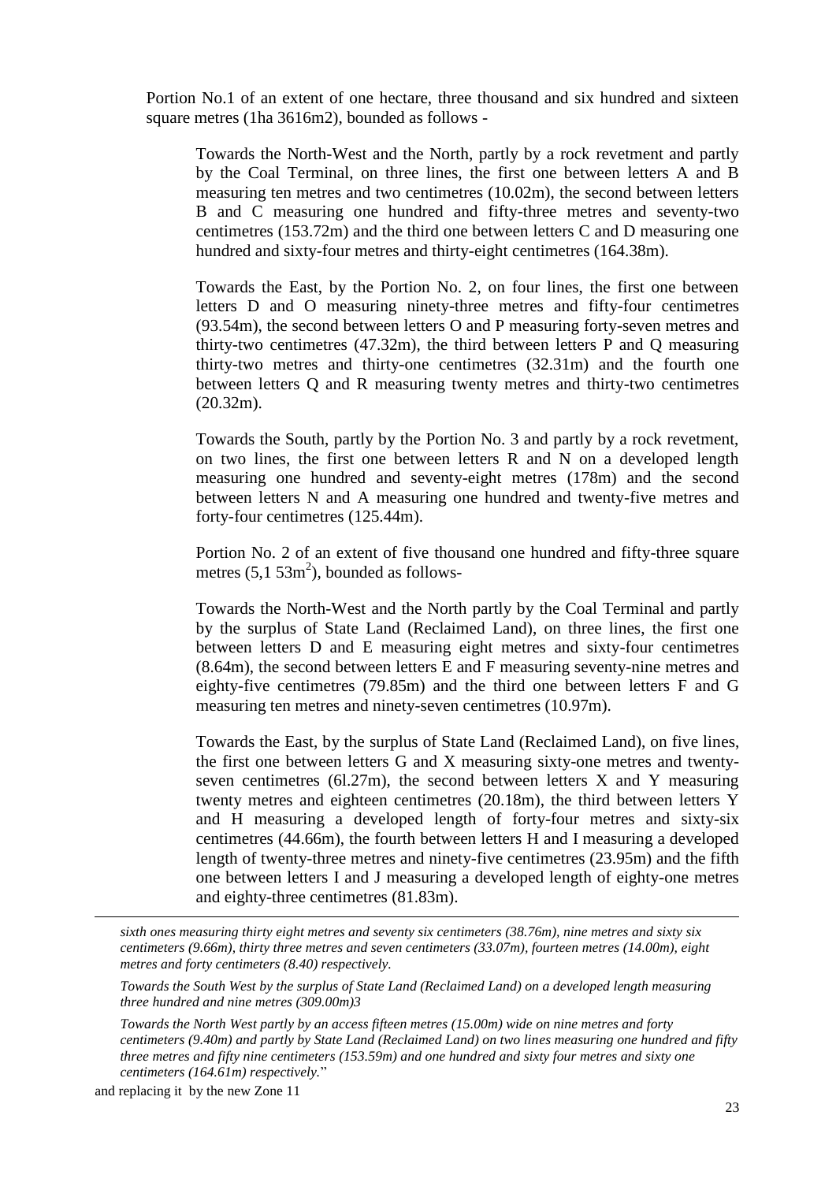Portion No.1 of an extent of one hectare, three thousand and six hundred and sixteen square metres (1ha 3616m2), bounded as follows -

Towards the North-West and the North, partly by a rock revetment and partly by the Coal Terminal, on three lines, the first one between letters A and B measuring ten metres and two centimetres (10.02m), the second between letters B and C measuring one hundred and fifty-three metres and seventy-two centimetres (153.72m) and the third one between letters C and D measuring one hundred and sixty-four metres and thirty-eight centimetres (164.38m).

Towards the East, by the Portion No. 2, on four lines, the first one between letters D and O measuring ninety-three metres and fifty-four centimetres (93.54m), the second between letters O and P measuring forty-seven metres and thirty-two centimetres (47.32m), the third between letters P and Q measuring thirty-two metres and thirty-one centimetres (32.31m) and the fourth one between letters Q and R measuring twenty metres and thirty-two centimetres (20.32m).

Towards the South, partly by the Portion No. 3 and partly by a rock revetment, on two lines, the first one between letters R and N on a developed length measuring one hundred and seventy-eight metres (178m) and the second between letters N and A measuring one hundred and twenty-five metres and forty-four centimetres (125.44m).

Portion No. 2 of an extent of five thousand one hundred and fifty-three square metres  $(5, 1, 53m^2)$ , bounded as follows-

Towards the North-West and the North partly by the Coal Terminal and partly by the surplus of State Land (Reclaimed Land), on three lines, the first one between letters D and E measuring eight metres and sixty-four centimetres (8.64m), the second between letters E and F measuring seventy-nine metres and eighty-five centimetres (79.85m) and the third one between letters F and G measuring ten metres and ninety-seven centimetres (10.97m).

Towards the East, by the surplus of State Land (Reclaimed Land), on five lines, the first one between letters G and X measuring sixty-one metres and twentyseven centimetres  $(6l.27m)$ , the second between letters X and Y measuring twenty metres and eighteen centimetres (20.18m), the third between letters Y and H measuring a developed length of forty-four metres and sixty-six centimetres (44.66m), the fourth between letters H and I measuring a developed length of twenty-three metres and ninety-five centimetres (23.95m) and the fifth one between letters I and J measuring a developed length of eighty-one metres and eighty-three centimetres (81.83m).

*sixth ones measuring thirty eight metres and seventy six centimeters (38.76m), nine metres and sixty six centimeters (9.66m), thirty three metres and seven centimeters (33.07m), fourteen metres (14.00m), eight metres and forty centimeters (8.40) respectively.*

*Towards the South West by the surplus of State Land (Reclaimed Land) on a developed length measuring three hundred and nine metres (309.00m)3*

*Towards the North West partly by an access fifteen metres (15.00m) wide on nine metres and forty centimeters (9.40m) and partly by State Land (Reclaimed Land) on two lines measuring one hundred and fifty three metres and fifty nine centimeters (153.59m) and one hundred and sixty four metres and sixty one centimeters (164.61m) respectively.*"

and replacing it by the new Zone 11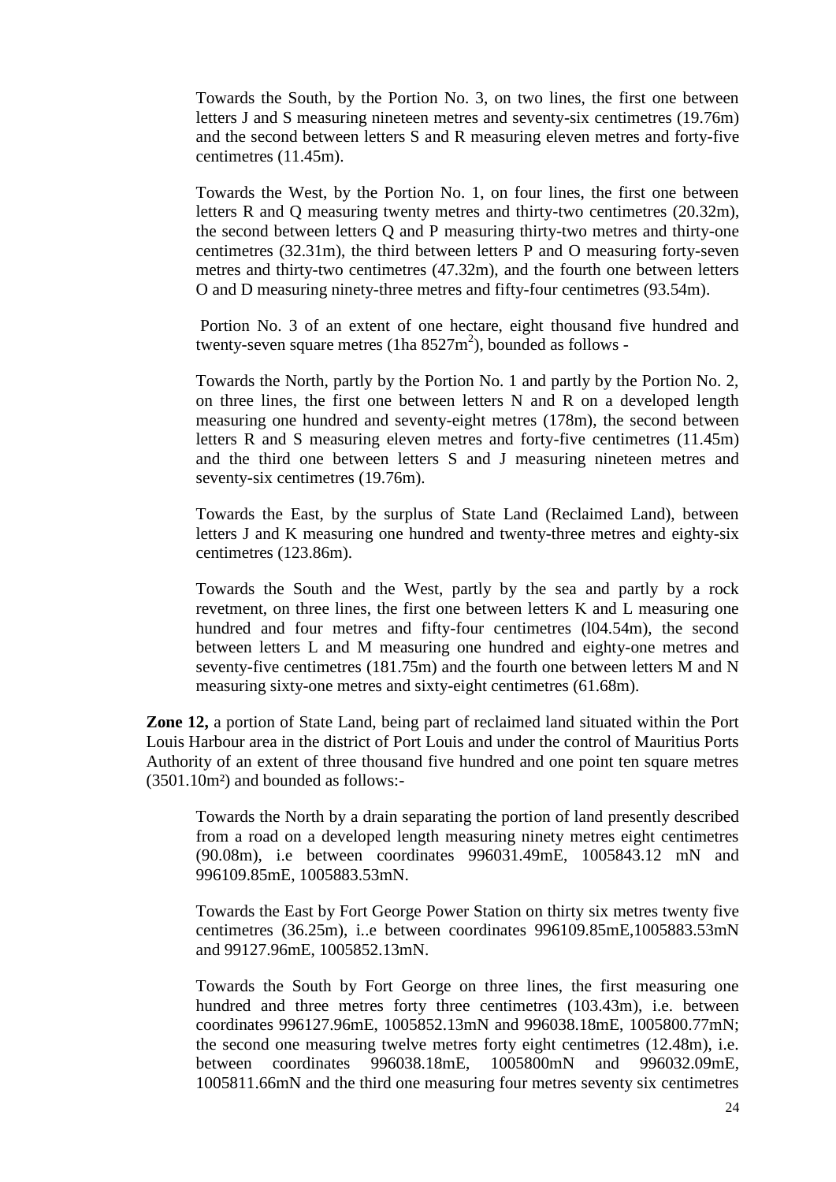Towards the South, by the Portion No. 3, on two lines, the first one between letters J and S measuring nineteen metres and seventy-six centimetres (19.76m) and the second between letters S and R measuring eleven metres and forty-five centimetres (11.45m).

Towards the West, by the Portion No. 1, on four lines, the first one between letters R and Q measuring twenty metres and thirty-two centimetres (20.32m), the second between letters Q and P measuring thirty-two metres and thirty-one centimetres (32.31m), the third between letters P and O measuring forty-seven metres and thirty-two centimetres (47.32m), and the fourth one between letters O and D measuring ninety-three metres and fifty-four centimetres (93.54m).

Portion No. 3 of an extent of one hectare, eight thousand five hundred and twenty-seven square metres (1ha  $8527 \text{m}^2$ ), bounded as follows -

Towards the North, partly by the Portion No. 1 and partly by the Portion No. 2, on three lines, the first one between letters N and R on a developed length measuring one hundred and seventy-eight metres (178m), the second between letters R and S measuring eleven metres and forty-five centimetres (11.45m) and the third one between letters S and J measuring nineteen metres and seventy-six centimetres (19.76m).

Towards the East, by the surplus of State Land (Reclaimed Land), between letters J and K measuring one hundred and twenty-three metres and eighty-six centimetres (123.86m).

Towards the South and the West, partly by the sea and partly by a rock revetment, on three lines, the first one between letters K and L measuring one hundred and four metres and fifty-four centimetres (104.54m), the second between letters L and M measuring one hundred and eighty-one metres and seventy-five centimetres (181.75m) and the fourth one between letters M and N measuring sixty-one metres and sixty-eight centimetres (61.68m).

**Zone 12,** a portion of State Land, being part of reclaimed land situated within the Port Louis Harbour area in the district of Port Louis and under the control of Mauritius Ports Authority of an extent of three thousand five hundred and one point ten square metres (3501.10m²) and bounded as follows:-

Towards the North by a drain separating the portion of land presently described from a road on a developed length measuring ninety metres eight centimetres (90.08m), i.e between coordinates 996031.49mE, 1005843.12 mN and 996109.85mE, 1005883.53mN.

Towards the East by Fort George Power Station on thirty six metres twenty five centimetres (36.25m), i..e between coordinates 996109.85mE,1005883.53mN and 99127.96mE, 1005852.13mN.

Towards the South by Fort George on three lines, the first measuring one hundred and three metres forty three centimetres (103.43m), i.e. between coordinates 996127.96mE, 1005852.13mN and 996038.18mE, 1005800.77mN; the second one measuring twelve metres forty eight centimetres (12.48m), i.e. between coordinates 996038.18mE, 1005800mN and 996032.09mE, 1005811.66mN and the third one measuring four metres seventy six centimetres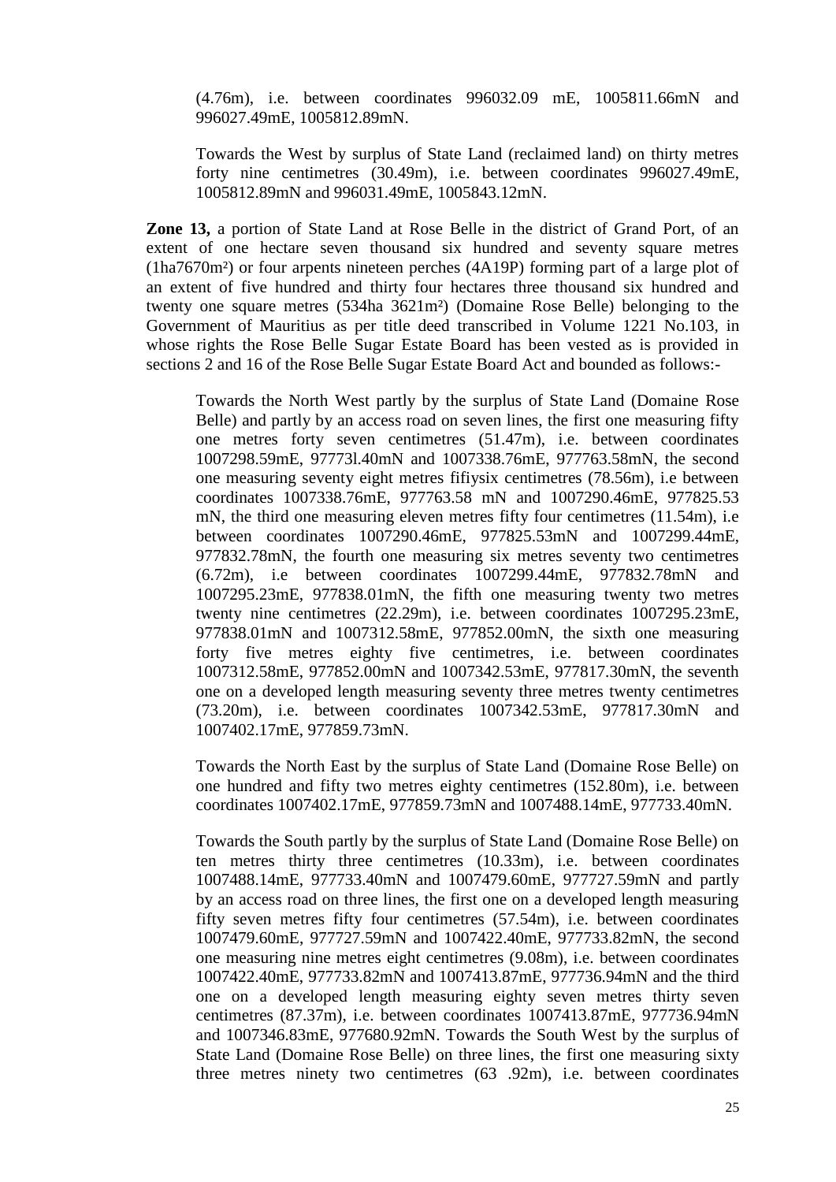(4.76m), i.e. between coordinates 996032.09 mE, 1005811.66mN and 996027.49mE, 1005812.89mN.

Towards the West by surplus of State Land (reclaimed land) on thirty metres forty nine centimetres (30.49m), i.e. between coordinates 996027.49mE, 1005812.89mN and 996031.49mE, 1005843.12mN.

**Zone 13,** a portion of State Land at Rose Belle in the district of Grand Port, of an extent of one hectare seven thousand six hundred and seventy square metres (1ha7670m²) or four arpents nineteen perches (4A19P) forming part of a large plot of an extent of five hundred and thirty four hectares three thousand six hundred and twenty one square metres (534ha 3621m²) (Domaine Rose Belle) belonging to the Government of Mauritius as per title deed transcribed in Volume 1221 No.103*,* in whose rights the Rose Belle Sugar Estate Board has been vested as is provided in sections 2 and 16 of the Rose Belle Sugar Estate Board Act and bounded as follows:-

Towards the North West partly by the surplus of State Land (Domaine Rose Belle) and partly by an access road on seven lines, the first one measuring fifty one metres forty seven centimetres (51.47m), i.e. between coordinates 1007298.59mE, 97773l.40mN and 1007338.76mE, 977763.58mN, the second one measuring seventy eight metres fifiysix centimetres (78.56m), i.e between coordinates 1007338.76mE, 977763.58 mN and 1007290.46mE, 977825.53 mN, the third one measuring eleven metres fifty four centimetres (11.54m), i.e between coordinates 1007290.46mE, 977825.53mN and 1007299.44mE, 977832.78mN, the fourth one measuring six metres seventy two centimetres (6.72m), i.e between coordinates 1007299.44mE, 977832.78mN and 1007295.23mE, 977838.01mN, the fifth one measuring twenty two metres twenty nine centimetres (22.29m), i.e. between coordinates 1007295.23mE, 977838.01mN and 1007312.58mE, 977852.00mN, the sixth one measuring forty five metres eighty five centimetres, i.e. between coordinates 1007312.58mE, 977852.00mN and 1007342.53mE, 977817.30mN, the seventh one on a developed length measuring seventy three metres twenty centimetres (73.20m), i.e. between coordinates 1007342.53mE, 977817.30mN and 1007402.17mE, 977859.73mN.

Towards the North East by the surplus of State Land (Domaine Rose Belle) on one hundred and fifty two metres eighty centimetres (152.80m), i.e. between coordinates 1007402.17mE, 977859.73mN and 1007488.14mE, 977733.40mN.

Towards the South partly by the surplus of State Land (Domaine Rose Belle) on ten metres thirty three centimetres (10.33m), i.e. between coordinates 1007488.14mE, 977733.40mN and 1007479.60mE, 977727.59mN and partly by an access road on three lines, the first one on a developed length measuring fifty seven metres fifty four centimetres (57.54m), i.e. between coordinates 1007479.60mE, 977727.59mN and 1007422.40mE, 977733.82mN, the second one measuring nine metres eight centimetres (9.08m), i.e. between coordinates 1007422.40mE, 977733.82mN and 1007413.87mE, 977736.94mN and the third one on a developed length measuring eighty seven metres thirty seven centimetres (87.37m), i.e. between coordinates 1007413.87mE, 977736.94mN and 1007346.83mE, 977680.92mN. Towards the South West by the surplus of State Land (Domaine Rose Belle) on three lines, the first one measuring sixty three metres ninety two centimetres (63 .92m), i.e. between coordinates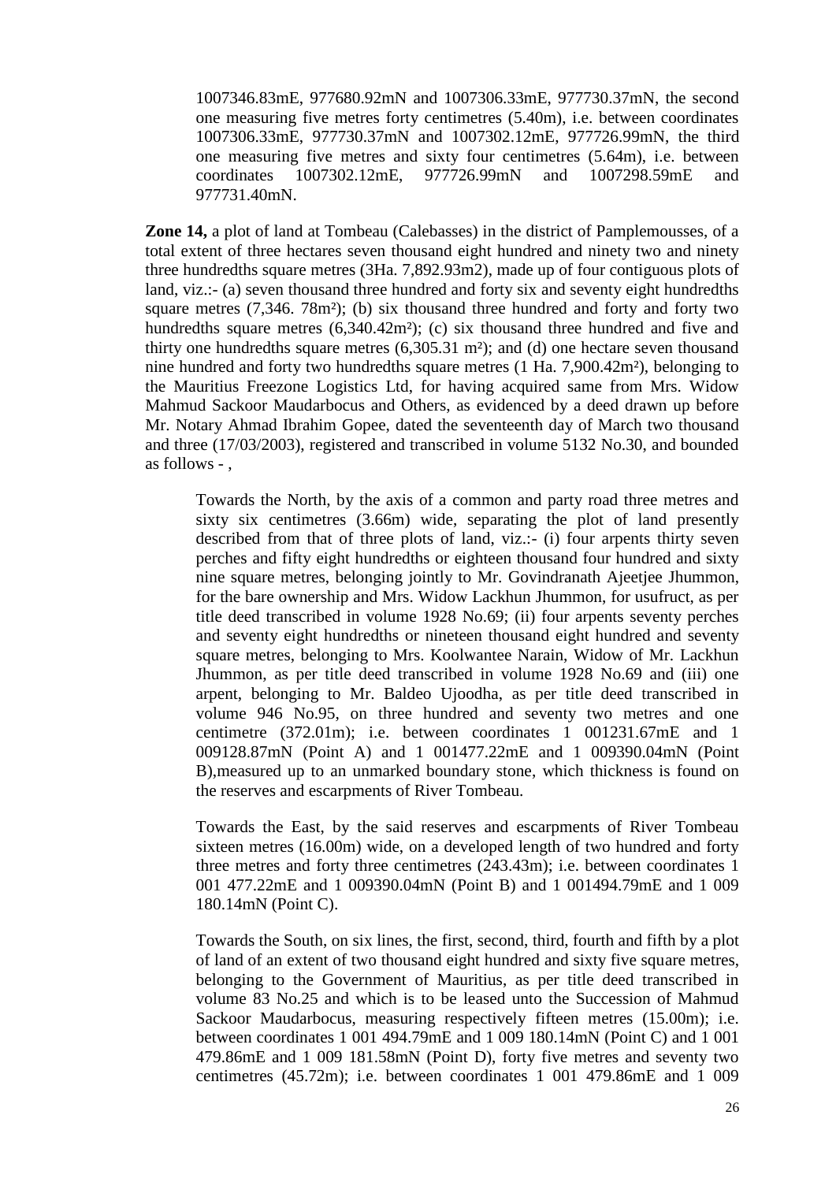1007346.83mE, 977680.92mN and 1007306.33mE, 977730.37mN, the second one measuring five metres forty centimetres (5.40m), i.e. between coordinates 1007306.33mE, 977730.37mN and 1007302.12mE, 977726.99mN, the third one measuring five metres and sixty four centimetres (5.64m), i.e. between coordinates 1007302.12mE, 977726.99mN and 1007298.59mE and 977731.40mN.

**Zone 14,** a plot of land at Tombeau (Calebasses) in the district of Pamplemousses, of a total extent of three hectares seven thousand eight hundred and ninety two and ninety three hundredths square metres (3Ha. 7,892.93m2), made up of four contiguous plots of land, viz.:- (a) seven thousand three hundred and forty six and seventy eight hundredths square metres (7,346. 78m²); (b) six thousand three hundred and forty and forty two hundredths square metres (6,340.42m<sup>2</sup>); (c) six thousand three hundred and five and thirty one hundredths square metres (6,305.31 m²); and (d) one hectare seven thousand nine hundred and forty two hundredths square metres (1 Ha. 7,900.42m²), belonging to the Mauritius Freezone Logistics Ltd, for having acquired same from Mrs. Widow Mahmud Sackoor Maudarbocus and Others, as evidenced by a deed drawn up before Mr. Notary Ahmad Ibrahim Gopee, dated the seventeenth day of March two thousand and three (17/03/2003), registered and transcribed in volume 5132 No.30, and bounded as follows - ,

Towards the North, by the axis of a common and party road three metres and sixty six centimetres (3.66m) wide, separating the plot of land presently described from that of three plots of land, viz.:- (i) four arpents thirty seven perches and fifty eight hundredths or eighteen thousand four hundred and sixty nine square metres, belonging jointly to Mr. Govindranath Ajeetjee Jhummon, for the bare ownership and Mrs. Widow Lackhun Jhummon, for usufruct, as per title deed transcribed in volume 1928 No.69; (ii) four arpents seventy perches and seventy eight hundredths or nineteen thousand eight hundred and seventy square metres, belonging to Mrs. Koolwantee Narain, Widow of Mr. Lackhun Jhummon, as per title deed transcribed in volume 1928 No.69 and (iii) one arpent, belonging to Mr. Baldeo Ujoodha, as per title deed transcribed in volume 946 No.95, on three hundred and seventy two metres and one centimetre (372.01m); i.e. between coordinates 1 001231.67mE and 1 009128.87mN (Point A) and 1 001477.22mE and 1 009390.04mN (Point B),measured up to an unmarked boundary stone, which thickness is found on the reserves and escarpments of River Tombeau.

Towards the East, by the said reserves and escarpments of River Tombeau sixteen metres (16.00m) wide, on a developed length of two hundred and forty three metres and forty three centimetres (243.43m); i.e. between coordinates 1 001 477.22mE and 1 009390.04mN (Point B) and 1 001494.79mE and 1 009 180.14mN (Point C).

Towards the South, on six lines, the first, second, third, fourth and fifth by a plot of land of an extent of two thousand eight hundred and sixty five square metres, belonging to the Government of Mauritius, as per title deed transcribed in volume 83 No.25 and which is to be leased unto the Succession of Mahmud Sackoor Maudarbocus, measuring respectively fifteen metres (15.00m); i.e. between coordinates 1 001 494.79mE and 1 009 180.14mN (Point C) and 1 001 479.86mE and 1 009 181.58mN (Point D), forty five metres and seventy two centimetres (45.72m); i.e. between coordinates 1 001 479.86mE and 1 009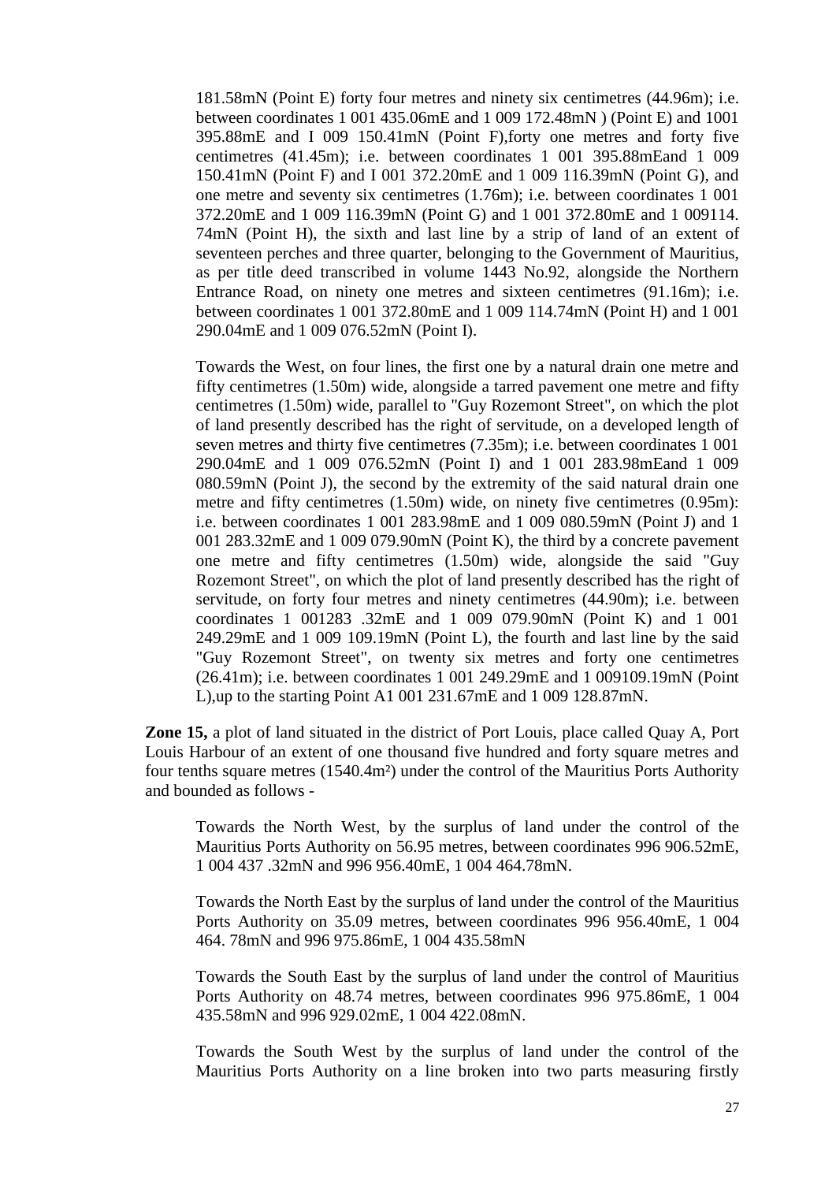181.58mN (Point E) forty four metres and ninety six centimetres (44.96m); i.e. between coordinates 1 001 435.06mE and 1 009 172.48mN ) (Point E) and 1001 395.88mE and I 009 150.41mN (Point F),forty one metres and forty five centimetres (41.45m); i.e. between coordinates 1 001 395.88mEand 1 009 150.41mN (Point F) and I 001 372.20mE and 1 009 116.39mN (Point G), and one metre and seventy six centimetres (1.76m); i.e. between coordinates 1 001 372.20mE and 1 009 116.39mN (Point G) and 1 001 372.80mE and 1 009114. 74mN (Point H), the sixth and last line by a strip of land of an extent of seventeen perches and three quarter, belonging to the Government of Mauritius, as per title deed transcribed in volume 1443 No.92, alongside the Northern Entrance Road, on ninety one metres and sixteen centimetres (91.16m); i.e. between coordinates 1 001 372.80mE and 1 009 114.74mN (Point H) and 1 001 290.04mE and 1 009 076.52mN (Point I).

Towards the West, on four lines, the first one by a natural drain one metre and fifty centimetres (1.50m) wide, alongside a tarred pavement one metre and fifty centimetres (1.50m) wide, parallel to "Guy Rozemont Street", on which the plot of land presently described has the right of servitude, on a developed length of seven metres and thirty five centimetres (7.35m); i.e. between coordinates 1 001 290.04mE and 1 009 076.52mN (Point I) and 1 001 283.98mEand 1 009 080.59mN (Point J), the second by the extremity of the said natural drain one metre and fifty centimetres (1.50m) wide, on ninety five centimetres (0.95m): i.e. between coordinates 1 001 283.98mE and 1 009 080.59mN (Point J) and 1 001 283.32mE and 1 009 079.90mN (Point K), the third by a concrete pavement one metre and fifty centimetres (1.50m) wide, alongside the said "Guy Rozemont Street", on which the plot of land presently described has the right of servitude, on forty four metres and ninety centimetres (44.90m); i.e. between coordinates 1 001283 .32mE and 1 009 079.90mN (Point K) and 1 001 249.29mE and 1 009 109.19mN (Point L), the fourth and last line by the said "Guy Rozemont Street", on twenty six metres and forty one centimetres (26.41m); i.e. between coordinates 1 001 249.29mE and 1 009109.19mN (Point L),up to the starting Point A1 001 231.67mE and 1 009 128.87mN.

**Zone 15,** a plot of land situated in the district of Port Louis, place called Quay A, Port Louis Harbour of an extent of one thousand five hundred and forty square metres and four tenths square metres (1540.4m²) under the control of the Mauritius Ports Authority and bounded as follows -

Towards the North West, by the surplus of land under the control of the Mauritius Ports Authority on 56.95 metres, between coordinates 996 906.52mE, 1 004 437 .32mN and 996 956.40mE, 1 004 464.78mN.

Towards the North East by the surplus of land under the control of the Mauritius Ports Authority on 35.09 metres, between coordinates 996 956.40mE, 1 004 464. 78mN and 996 975.86mE, 1 004 435.58mN

Towards the South East by the surplus of land under the control of Mauritius Ports Authority on 48.74 metres, between coordinates 996 975.86mE, 1 004 435.58mN and 996 929.02mE, 1 004 422.08mN.

Towards the South West by the surplus of land under the control of the Mauritius Ports Authority on a line broken into two parts measuring firstly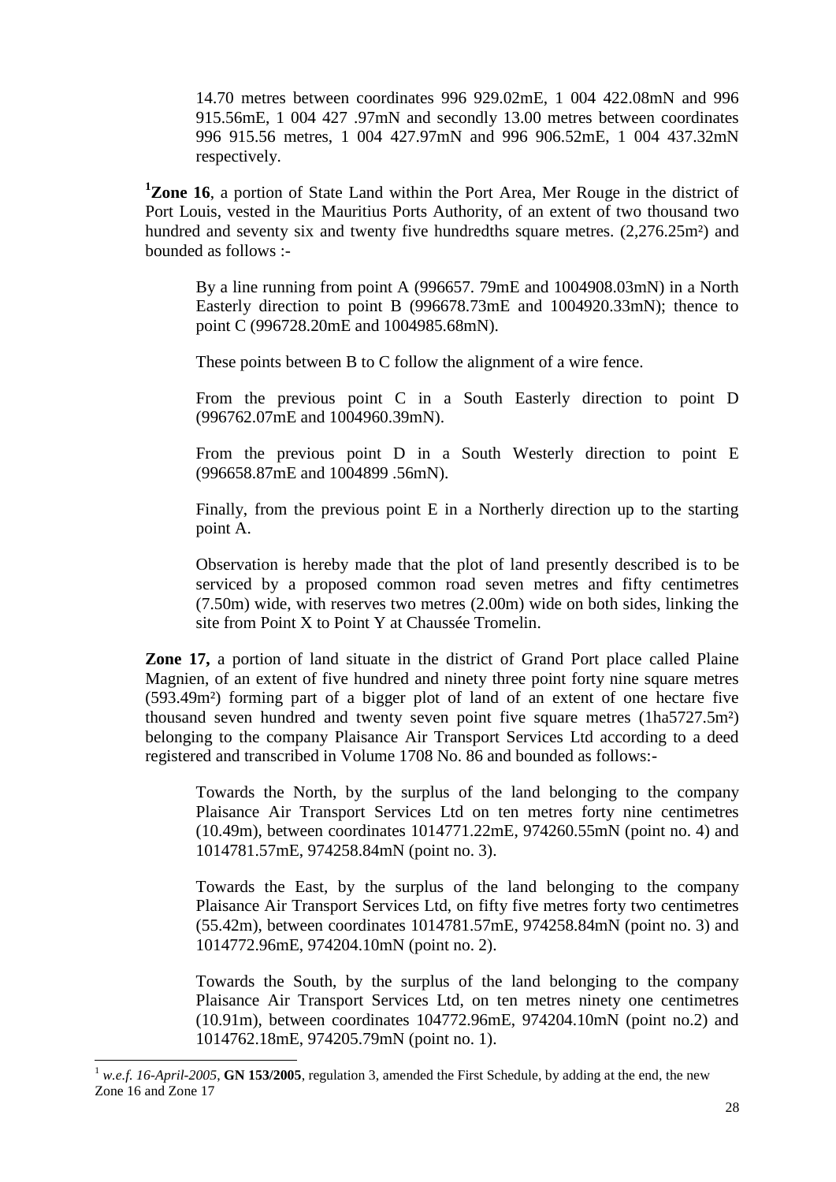14.70 metres between coordinates 996 929.02mE, 1 004 422.08mN and 996 915.56mE, 1 004 427 .97mN and secondly 13.00 metres between coordinates 996 915.56 metres, 1 004 427.97mN and 996 906.52mE, 1 004 437.32mN respectively.

**<sup>1</sup>Zone 16**, a portion of State Land within the Port Area, Mer Rouge in the district of Port Louis, vested in the Mauritius Ports Authority, of an extent of two thousand two hundred and seventy six and twenty five hundredths square metres. (2,276.25m<sup>2</sup>) and bounded as follows :-

By a line running from point A (996657. 79mE and 1004908.03mN) in a North Easterly direction to point B (996678.73mE and 1004920.33mN); thence to point C (996728.20mE and 1004985.68mN).

These points between B to C follow the alignment of a wire fence.

From the previous point C in a South Easterly direction to point D (996762.07mE and 1004960.39mN).

From the previous point D in a South Westerly direction to point E (996658.87mE and 1004899 .56mN).

Finally, from the previous point E in a Northerly direction up to the starting point A.

Observation is hereby made that the plot of land presently described is to be serviced by a proposed common road seven metres and fifty centimetres (7.50m) wide, with reserves two metres (2.00m) wide on both sides, linking the site from Point X to Point Y at Chaussée Tromelin.

**Zone 17,** a portion of land situate in the district of Grand Port place called Plaine Magnien, of an extent of five hundred and ninety three point forty nine square metres (593.49m²) forming part of a bigger plot of land of an extent of one hectare five thousand seven hundred and twenty seven point five square metres (1ha5727.5m²) belonging to the company Plaisance Air Transport Services Ltd according to a deed registered and transcribed in Volume 1708 No. 86 and bounded as follows:-

Towards the North, by the surplus of the land belonging to the company Plaisance Air Transport Services Ltd on ten metres forty nine centimetres (10.49m), between coordinates 1014771.22mE, 974260.55mN (point no. 4) and 1014781.57mE, 974258.84mN (point no. 3).

Towards the East, by the surplus of the land belonging to the company Plaisance Air Transport Services Ltd, on fifty five metres forty two centimetres (55.42m), between coordinates 1014781.57mE, 974258.84mN (point no. 3) and 1014772.96mE, 974204.10mN (point no. 2).

Towards the South, by the surplus of the land belonging to the company Plaisance Air Transport Services Ltd, on ten metres ninety one centimetres (10.91m), between coordinates 104772.96mE, 974204.10mN (point no.2) and 1014762.18mE, 974205.79mN (point no. 1).

 $1$  *w.e.f. 16-April-2005*, **GN 153/2005**, regulation 3, amended the First Schedule, by adding at the end, the new Zone 16 and Zone 17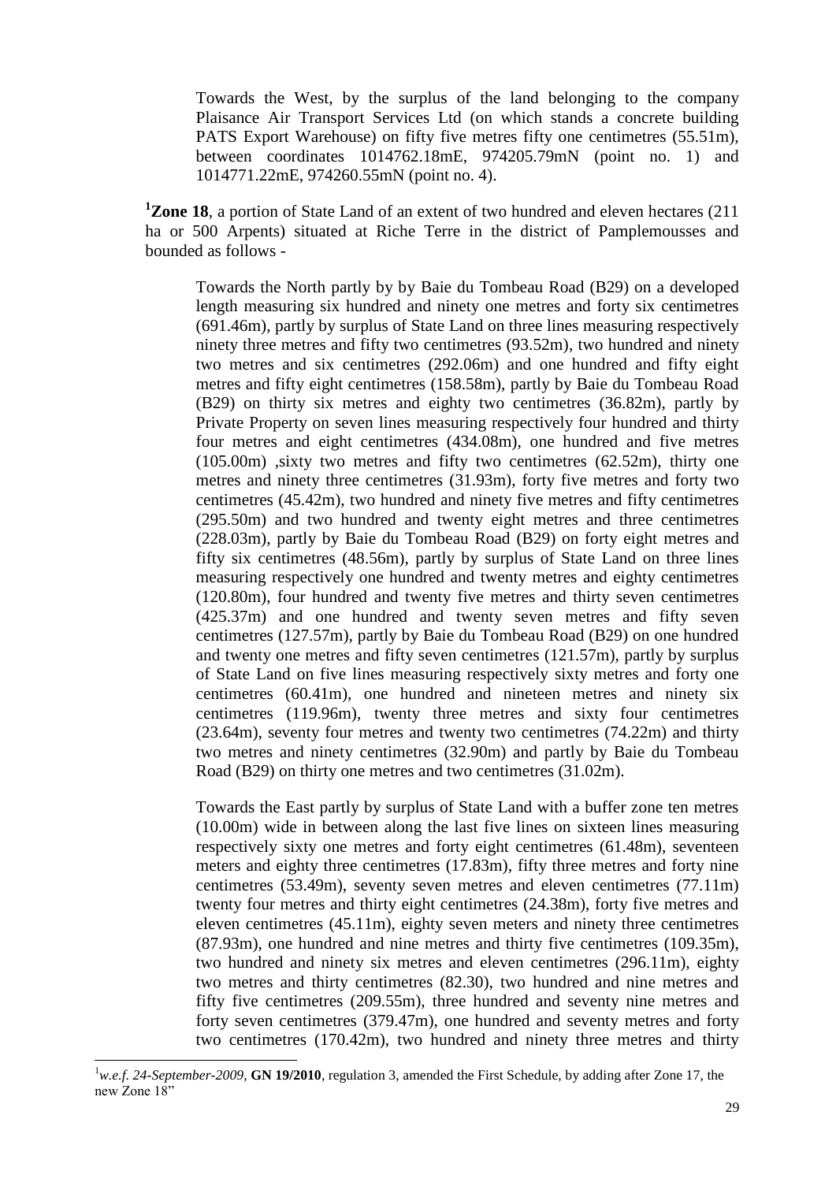Towards the West, by the surplus of the land belonging to the company Plaisance Air Transport Services Ltd (on which stands a concrete building PATS Export Warehouse) on fifty five metres fifty one centimetres (55.51m), between coordinates 1014762.18mE, 974205.79mN (point no. 1) and 1014771.22mE, 974260.55mN (point no. 4).

**<sup>1</sup>Zone 18**, a portion of State Land of an extent of two hundred and eleven hectares (211 ha or 500 Arpents) situated at Riche Terre in the district of Pamplemousses and bounded as follows -

Towards the North partly by by Baie du Tombeau Road (B29) on a developed length measuring six hundred and ninety one metres and forty six centimetres (691.46m), partly by surplus of State Land on three lines measuring respectively ninety three metres and fifty two centimetres (93.52m), two hundred and ninety two metres and six centimetres (292.06m) and one hundred and fifty eight metres and fifty eight centimetres (158.58m), partly by Baie du Tombeau Road (B29) on thirty six metres and eighty two centimetres (36.82m), partly by Private Property on seven lines measuring respectively four hundred and thirty four metres and eight centimetres (434.08m), one hundred and five metres  $(105.00m)$ , sixty two metres and fifty two centimetres  $(62.52m)$ , thirty one metres and ninety three centimetres (31.93m), forty five metres and forty two centimetres (45.42m), two hundred and ninety five metres and fifty centimetres (295.50m) and two hundred and twenty eight metres and three centimetres (228.03m), partly by Baie du Tombeau Road (B29) on forty eight metres and fifty six centimetres (48.56m), partly by surplus of State Land on three lines measuring respectively one hundred and twenty metres and eighty centimetres (120.80m), four hundred and twenty five metres and thirty seven centimetres (425.37m) and one hundred and twenty seven metres and fifty seven centimetres (127.57m), partly by Baie du Tombeau Road (B29) on one hundred and twenty one metres and fifty seven centimetres (121.57m), partly by surplus of State Land on five lines measuring respectively sixty metres and forty one centimetres (60.41m), one hundred and nineteen metres and ninety six centimetres (119.96m), twenty three metres and sixty four centimetres (23.64m), seventy four metres and twenty two centimetres (74.22m) and thirty two metres and ninety centimetres (32.90m) and partly by Baie du Tombeau Road (B29) on thirty one metres and two centimetres (31.02m).

Towards the East partly by surplus of State Land with a buffer zone ten metres (10.00m) wide in between along the last five lines on sixteen lines measuring respectively sixty one metres and forty eight centimetres (61.48m), seventeen meters and eighty three centimetres (17.83m), fifty three metres and forty nine centimetres (53.49m), seventy seven metres and eleven centimetres (77.11m) twenty four metres and thirty eight centimetres (24.38m), forty five metres and eleven centimetres (45.11m), eighty seven meters and ninety three centimetres (87.93m), one hundred and nine metres and thirty five centimetres (109.35m), two hundred and ninety six metres and eleven centimetres (296.11m), eighty two metres and thirty centimetres (82.30), two hundred and nine metres and fifty five centimetres (209.55m), three hundred and seventy nine metres and forty seven centimetres (379.47m), one hundred and seventy metres and forty two centimetres (170.42m), two hundred and ninety three metres and thirty

<sup>1</sup>*w.e.f. 24-September-2009*, **GN 19/2010**, regulation 3, amended the First Schedule, by adding after Zone 17, the new Zone 18"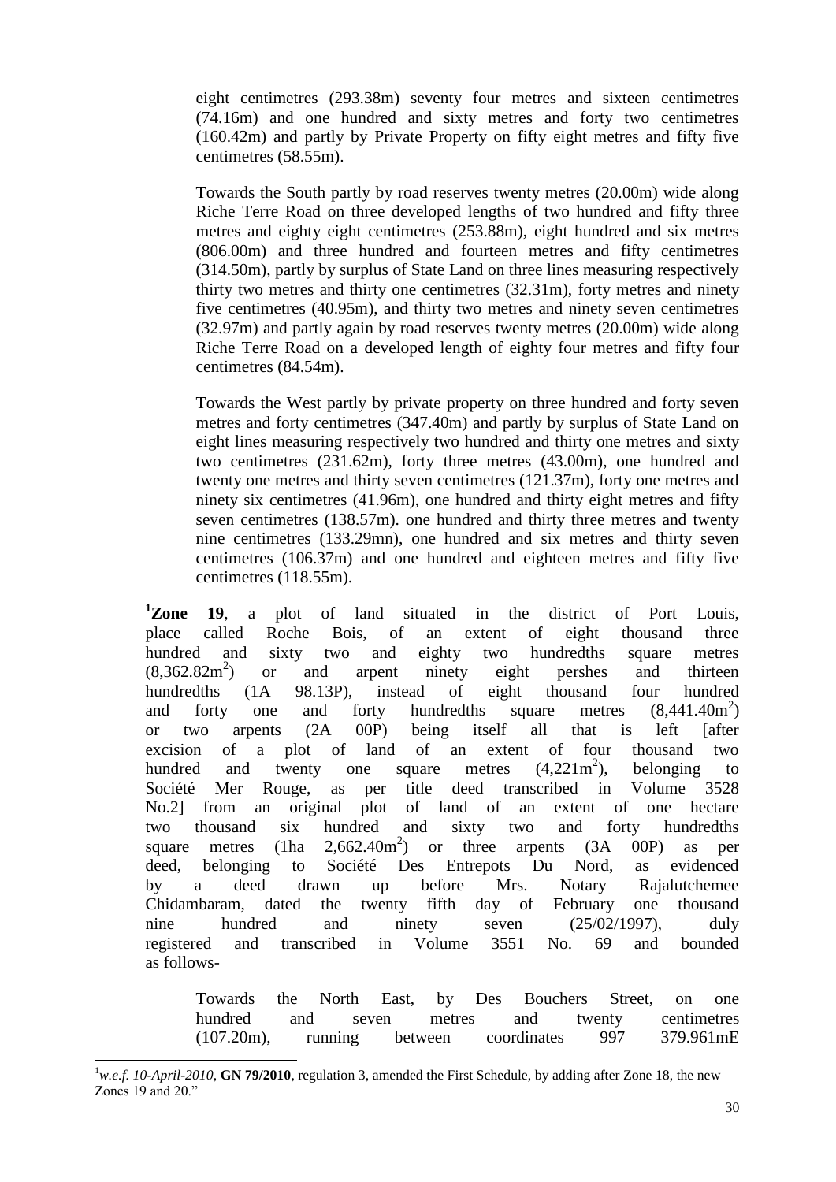eight centimetres (293.38m) seventy four metres and sixteen centimetres (74.16m) and one hundred and sixty metres and forty two centimetres (160.42m) and partly by Private Property on fifty eight metres and fifty five centimetres (58.55m).

Towards the South partly by road reserves twenty metres (20.00m) wide along Riche Terre Road on three developed lengths of two hundred and fifty three metres and eighty eight centimetres (253.88m), eight hundred and six metres (806.00m) and three hundred and fourteen metres and fifty centimetres (314.50m), partly by surplus of State Land on three lines measuring respectively thirty two metres and thirty one centimetres (32.31m), forty metres and ninety five centimetres (40.95m), and thirty two metres and ninety seven centimetres (32.97m) and partly again by road reserves twenty metres (20.00m) wide along Riche Terre Road on a developed length of eighty four metres and fifty four centimetres (84.54m).

Towards the West partly by private property on three hundred and forty seven metres and forty centimetres (347.40m) and partly by surplus of State Land on eight lines measuring respectively two hundred and thirty one metres and sixty two centimetres (231.62m), forty three metres (43.00m), one hundred and twenty one metres and thirty seven centimetres (121.37m), forty one metres and ninety six centimetres (41.96m), one hundred and thirty eight metres and fifty seven centimetres (138.57m). one hundred and thirty three metres and twenty nine centimetres (133.29mn), one hundred and six metres and thirty seven centimetres (106.37m) and one hundred and eighteen metres and fifty five centimetres (118.55m).

**<sup>1</sup>Zone 19**, a plot of land situated in the district of Port Louis, place called Roche Bois, of an extent of eight thousand three hundred and sixty two and eighty two hundredths square metres  $(8.362.82m^2)$ ) or and arpent ninety eight pershes and thirteen hundredths (1A 98.13P), instead of eight thousand four hundred and forty one and forty hundredths square metres (8,441.40m<sup>2</sup>  $(8,441.40m^2)$ or two arpents (2A 00P) being itself all that is left [after excision of a plot of land of an extent of four thousand two hundred and twenty one square metres  $(4,221m^2)$ , ), belonging to Société Mer Rouge, as per title deed transcribed in Volume 3528 No.2] from an original plot of land of an extent of one hectare two thousand six hundred and sixty two and forty hundredths square metres (1ha  $2,662.40 \text{m}^2$ ) ) or three arpents (3A 00P) as per deed, belonging to Société Des Entrepots Du Nord, as evidenced by a deed drawn up before Mrs. Notary Rajalutchemee Chidambaram, dated the twenty fifth day of February one thousand nine hundred and ninety seven (25/02/1997), duly registered and transcribed in Volume 3551 No. 69 and bounded as follows-

Towards the North East, by Des Bouchers Street, on one hundred and seven metres and twenty centimetres (107.20m), running between coordinates 997 379.961mE

<sup>&</sup>lt;sup>1</sup>*w.e.f. 10-April-2010*, **GN 79/2010**, regulation 3, amended the First Schedule, by adding after Zone 18, the new Zones 19 and 20."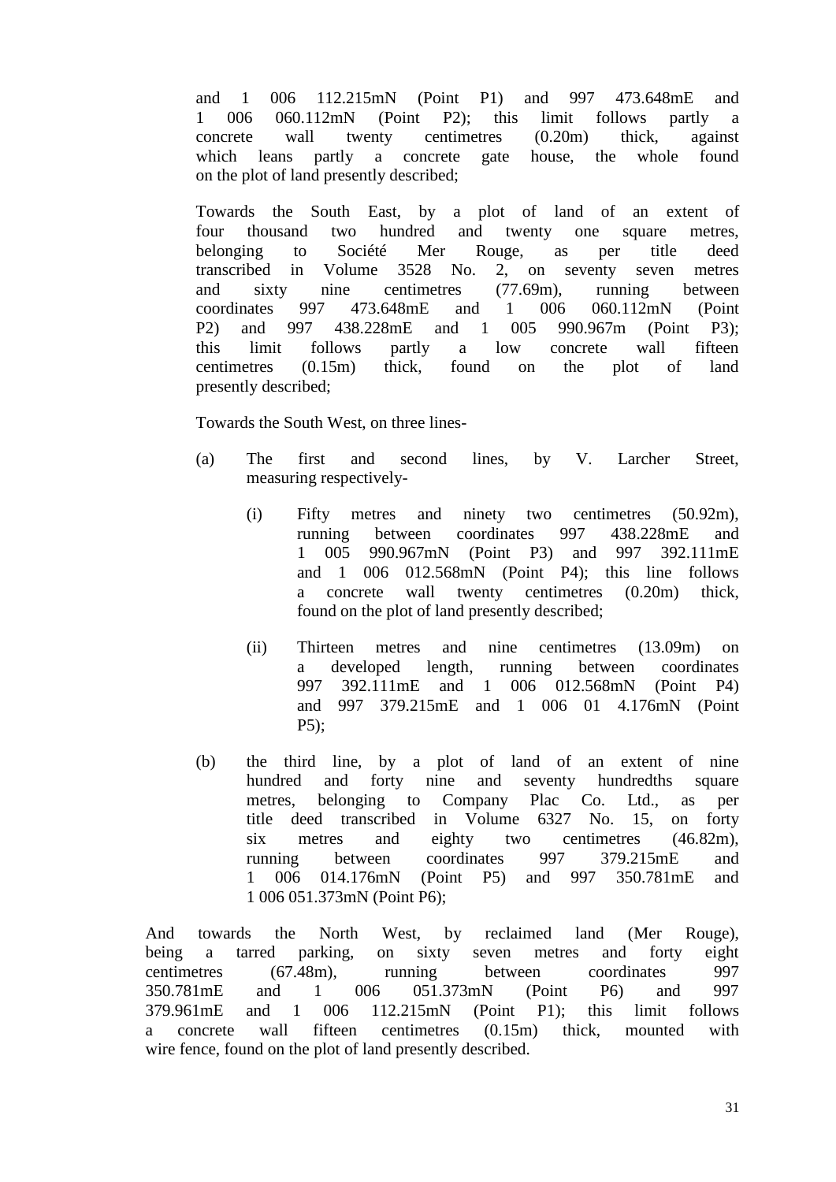and 1 006 112.215mN (Point P1) and 997 473.648mE and 1 006 060.112mN (Point P2); this limit follows partly a concrete wall twenty centimetres (0.20m) thick, against which leans partly a concrete gate house, the whole found on the plot of land presently described;

Towards the South East, by a plot of land of an extent of four thousand two hundred and twenty one square metres, belonging to Société Mer Rouge, as per title deed transcribed in Volume 3528 No. 2, on seventy seven metres and sixty nine centimetres (77.69m), running between coordinates 997 473.648mE and 1 006 060.112mN (Point P2) and 997 438.228mE and 1 005 990.967m (Point P3); this limit follows partly a low concrete wall fifteen centimetres (0.15m) thick, found on the plot of land presently described;

Towards the South West, on three lines-

- (a) The first and second lines, by V. Larcher Street, measuring respectively-
	- (i) Fifty metres and ninety two centimetres (50.92m), running between coordinates 997 438.228mE and 1 005 990.967mN (Point P3) and 997 392.111mE and 1 006 012.568mN (Point P4); this line follows a concrete wall twenty centimetres (0.20m) thick, found on the plot of land presently described;
	- (ii) Thirteen metres and nine centimetres (13.09m) on a developed length, running between coordinates 997 392.111mE and 1 006 012.568mN (Point P4) and 997 379.215mE and 1 006 01 4.176mN (Point P5);
- (b) the third line, by a plot of land of an extent of nine hundred and forty nine and seventy hundredths square metres, belonging to Company Plac Co. Ltd., as per title deed transcribed in Volume 6327 No. 15, on forty six metres and eighty two centimetres (46.82m), running between coordinates 997 379.215mE and 1 006 014.176mN (Point P5) and 997 350.781mE and 1 006 051.373mN (Point P6);

And towards the North West, by reclaimed land (Mer Rouge), being a tarred parking, on sixty seven metres and forty eight centimetres (67.48m), running between coordinates 997 350.781mE and 1 006 051.373mN (Point P6) and 997 379.961mE and 1 006 112.215mN (Point P1); this limit follows a concrete wall fifteen centimetres (0.15m) thick, mounted with wire fence, found on the plot of land presently described.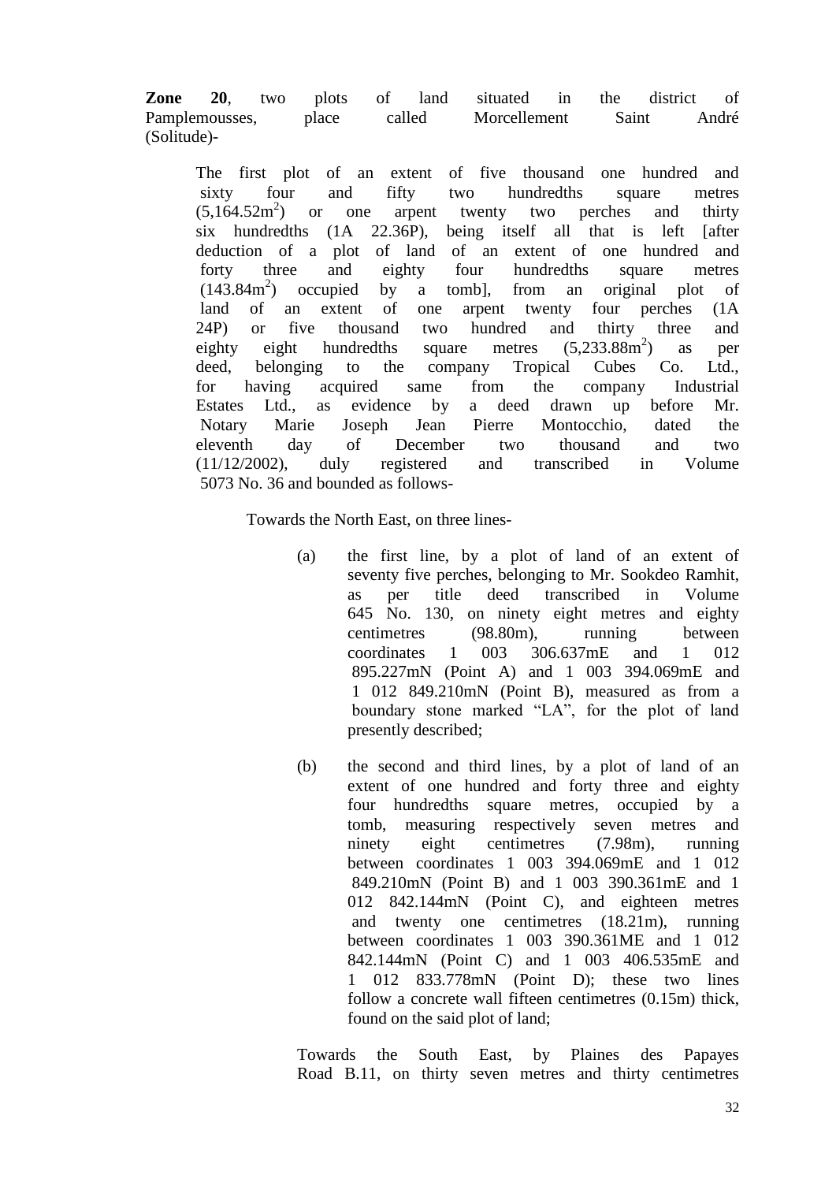**Zone 20**, two plots of land situated in the district of Pamplemousses, place called Morcellement Saint André (Solitude)-

The first plot of an extent of five thousand one hundred and sixty four and fifty two hundredths square metres  $(5.164.52m^2)$ ) or one arpent twenty two perches and thirty six hundredths (1A 22.36P), being itself all that is left [after deduction of a plot of land of an extent of one hundred and forty three and eighty four hundredths square metres (143.84m<sup>2</sup> ) occupied by a tomb], from an original plot of land of an extent of one arpent twenty four perches (1A 24P) or five thousand two hundred and thirty three and eighty eight hundredths square metres  $(5.233.88m^2)$ as per deed, belonging to the company Tropical Cubes Co. Ltd., for having acquired same from the company Industrial Estates Ltd., as evidence by a deed drawn up before Mr. Notary Marie Joseph Jean Pierre Montocchio, dated the eleventh day of December two thousand and two (11/12/2002), duly registered and transcribed in Volume 5073 No. 36 and bounded as follows-

Towards the North East, on three lines-

- (a) the first line, by a plot of land of an extent of seventy five perches, belonging to Mr. Sookdeo Ramhit, as per title deed transcribed in Volume 645 No. 130, on ninety eight metres and eighty centimetres (98.80m), running between coordinates 1 003 306.637mE and 1 012 895.227mN (Point A) and 1 003 394.069mE and 1 012 849.210mN (Point B), measured as from a boundary stone marked "LA", for the plot of land presently described;
- (b) the second and third lines, by a plot of land of an extent of one hundred and forty three and eighty four hundredths square metres, occupied by a tomb, measuring respectively seven metres and ninety eight centimetres (7.98m), running between coordinates 1 003 394.069mE and 1 012 849.210mN (Point B) and 1 003 390.361mE and 1 012 842.144mN (Point C), and eighteen metres and twenty one centimetres (18.21m), running between coordinates 1 003 390.361ME and 1 012 842.144mN (Point C) and 1 003 406.535mE and 1 012 833.778mN (Point D); these two lines follow a concrete wall fifteen centimetres (0.15m) thick, found on the said plot of land;

Towards the South East, by Plaines des Papayes Road B.11, on thirty seven metres and thirty centimetres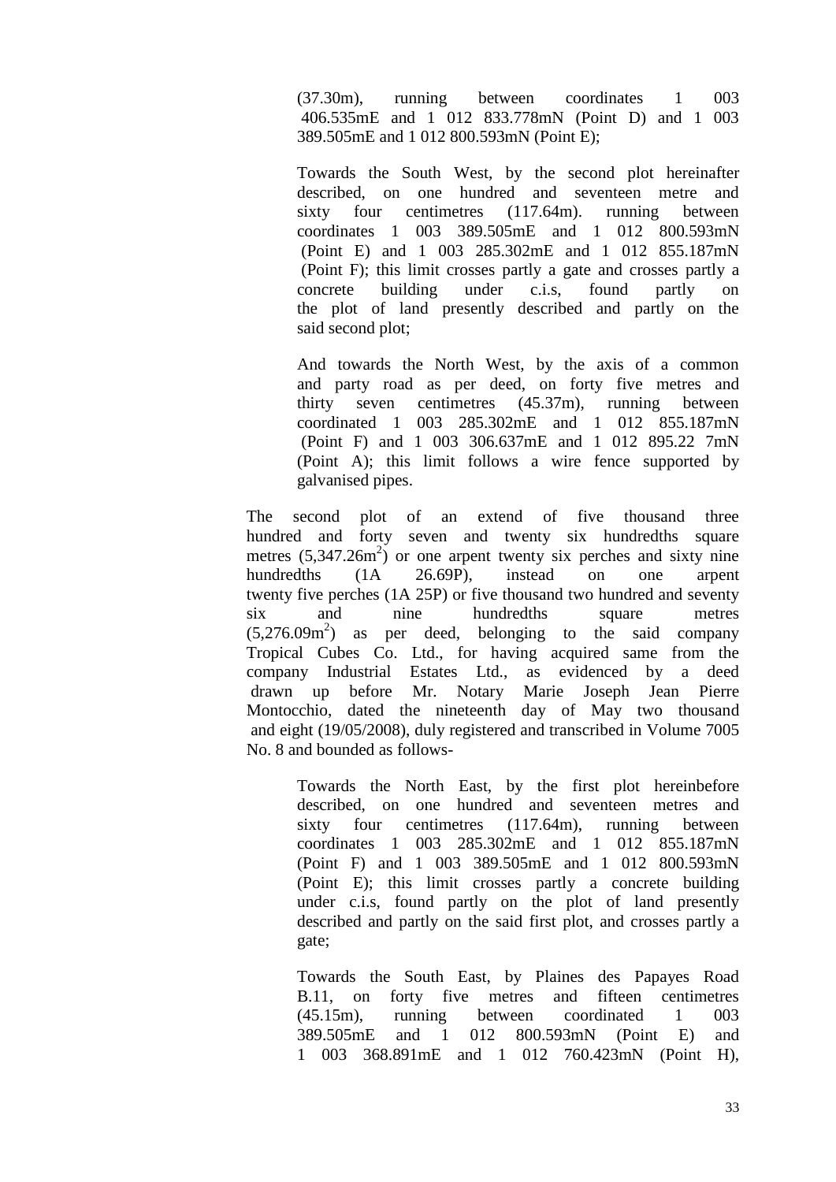(37.30m), running between coordinates 1 003 406.535mE and 1 012 833.778mN (Point D) and 1 003 389.505mE and 1 012 800.593mN (Point E);

Towards the South West, by the second plot hereinafter described, on one hundred and seventeen metre and sixty four centimetres (117.64m). running between coordinates 1 003 389.505mE and 1 012 800.593mN (Point E) and 1 003 285.302mE and 1 012 855.187mN (Point F); this limit crosses partly a gate and crosses partly a concrete building under c.i.s, found partly on the plot of land presently described and partly on the said second plot;

And towards the North West, by the axis of a common and party road as per deed, on forty five metres and thirty seven centimetres (45.37m), running between coordinated 1 003 285.302mE and 1 012 855.187mN (Point F) and 1 003 306.637mE and 1 012 895.22 7mN (Point A); this limit follows a wire fence supported by galvanised pipes.

The second plot of an extend of five thousand three hundred and forty seven and twenty six hundredths square metres  $(5,347.26m^2)$  or one arpent twenty six perches and sixty nine hundredths (1A 26.69P), instead on one arpent twenty five perches (1A 25P) or five thousand two hundred and seventy six and nine hundredths square metres  $(5,276.09m<sup>2</sup>)$  as per deed, belonging to the said company Tropical Cubes Co. Ltd., for having acquired same from the company Industrial Estates Ltd., as evidenced by a deed drawn up before Mr. Notary Marie Joseph Jean Pierre Montocchio, dated the nineteenth day of May two thousand and eight (19/05/2008), duly registered and transcribed in Volume 7005 No. 8 and bounded as follows-

> Towards the North East, by the first plot hereinbefore described, on one hundred and seventeen metres and sixty four centimetres (117.64m), running between coordinates 1 003 285.302mE and 1 012 855.187mN (Point F) and 1 003 389.505mE and 1 012 800.593mN (Point E); this limit crosses partly a concrete building under c.i.s, found partly on the plot of land presently described and partly on the said first plot, and crosses partly a gate;

> Towards the South East, by Plaines des Papayes Road B.11, on forty five metres and fifteen centimetres (45.15m), running between coordinated 1 003 389.505mE and 1 012 800.593mN (Point E) and 1 003 368.891mE and 1 012 760.423mN (Point H),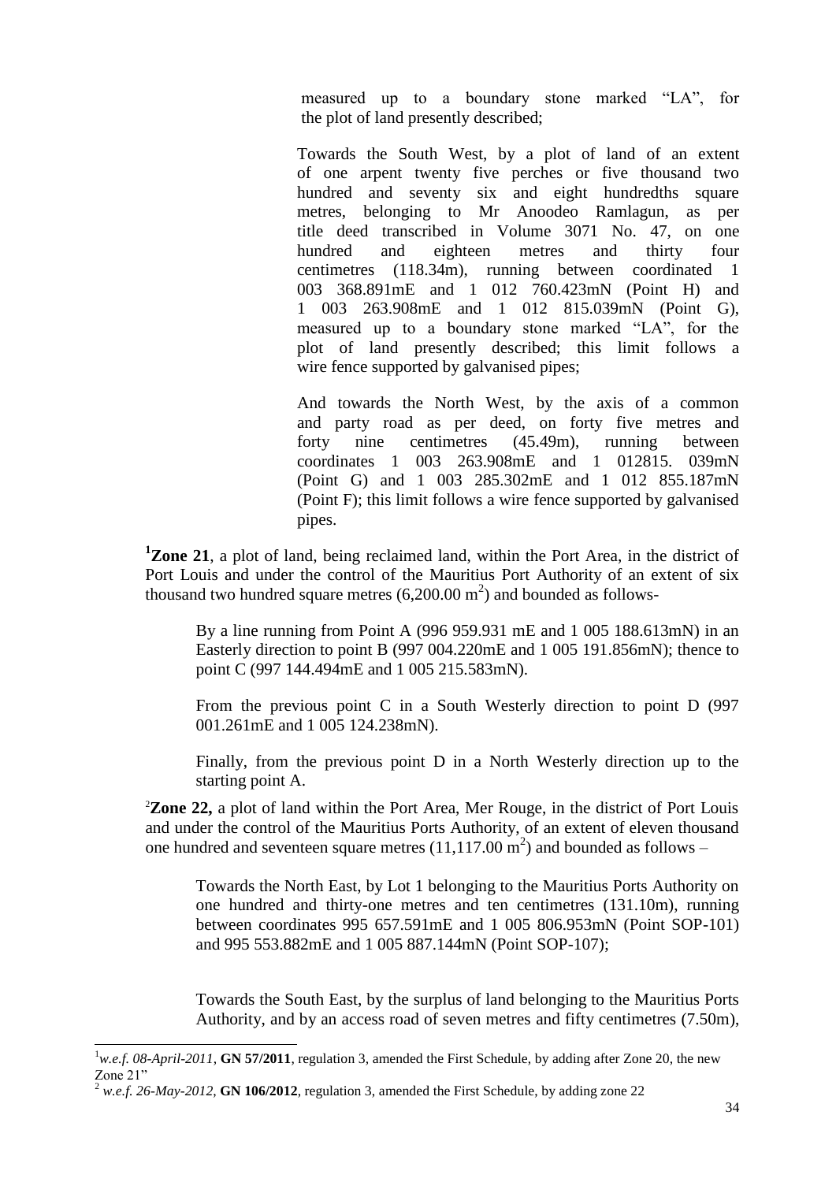measured up to a boundary stone marked "LA", for the plot of land presently described;

Towards the South West, by a plot of land of an extent of one arpent twenty five perches or five thousand two hundred and seventy six and eight hundredths square metres, belonging to Mr Anoodeo Ramlagun, as per title deed transcribed in Volume 3071 No. 47, on one hundred and eighteen metres and thirty four centimetres (118.34m), running between coordinated 1 003 368.891mE and 1 012 760.423mN (Point H) and 1 003 263.908mE and 1 012 815.039mN (Point G), measured up to a boundary stone marked "LA", for the plot of land presently described; this limit follows a wire fence supported by galvanised pipes;

And towards the North West, by the axis of a common and party road as per deed, on forty five metres and forty nine centimetres (45.49m), running between coordinates 1 003 263.908mE and 1 012815. 039mN (Point G) and 1 003 285.302mE and 1 012 855.187mN (Point F); this limit follows a wire fence supported by galvanised pipes.

**<sup>1</sup>Zone 21**, a plot of land, being reclaimed land, within the Port Area, in the district of Port Louis and under the control of the Mauritius Port Authority of an extent of six thousand two hundred square metres  $(6,200.00 \text{ m}^2)$  and bounded as follows-

By a line running from Point A (996 959.931 mE and 1 005 188.613mN) in an Easterly direction to point B (997 004.220mE and 1 005 191.856mN); thence to point C (997 144.494mE and 1 005 215.583mN).

From the previous point C in a South Westerly direction to point D (997 001.261mE and 1 005 124.238mN).

Finally, from the previous point D in a North Westerly direction up to the starting point A.

<sup>2</sup>**Zone 22,** a plot of land within the Port Area, Mer Rouge, in the district of Port Louis and under the control of the Mauritius Ports Authority, of an extent of eleven thousand one hundred and seventeen square metres  $(11,117.00 \text{ m}^2)$  and bounded as follows –

Towards the North East, by Lot 1 belonging to the Mauritius Ports Authority on one hundred and thirty-one metres and ten centimetres (131.10m), running between coordinates 995 657.591mE and 1 005 806.953mN (Point SOP-101) and 995 553.882mE and 1 005 887.144mN (Point SOP-107);

Towards the South East, by the surplus of land belonging to the Mauritius Ports Authority, and by an access road of seven metres and fifty centimetres (7.50m),

 $\overline{a}$ 

<sup>&</sup>lt;sup>1</sup>w.e.f. 08-April-2011, **GN 57/2011**, regulation 3, amended the First Schedule, by adding after Zone 20, the new Zone 21"

<sup>2</sup> *w.e.f. 26-May-2012*, **GN 106/2012**, regulation 3, amended the First Schedule, by adding zone 22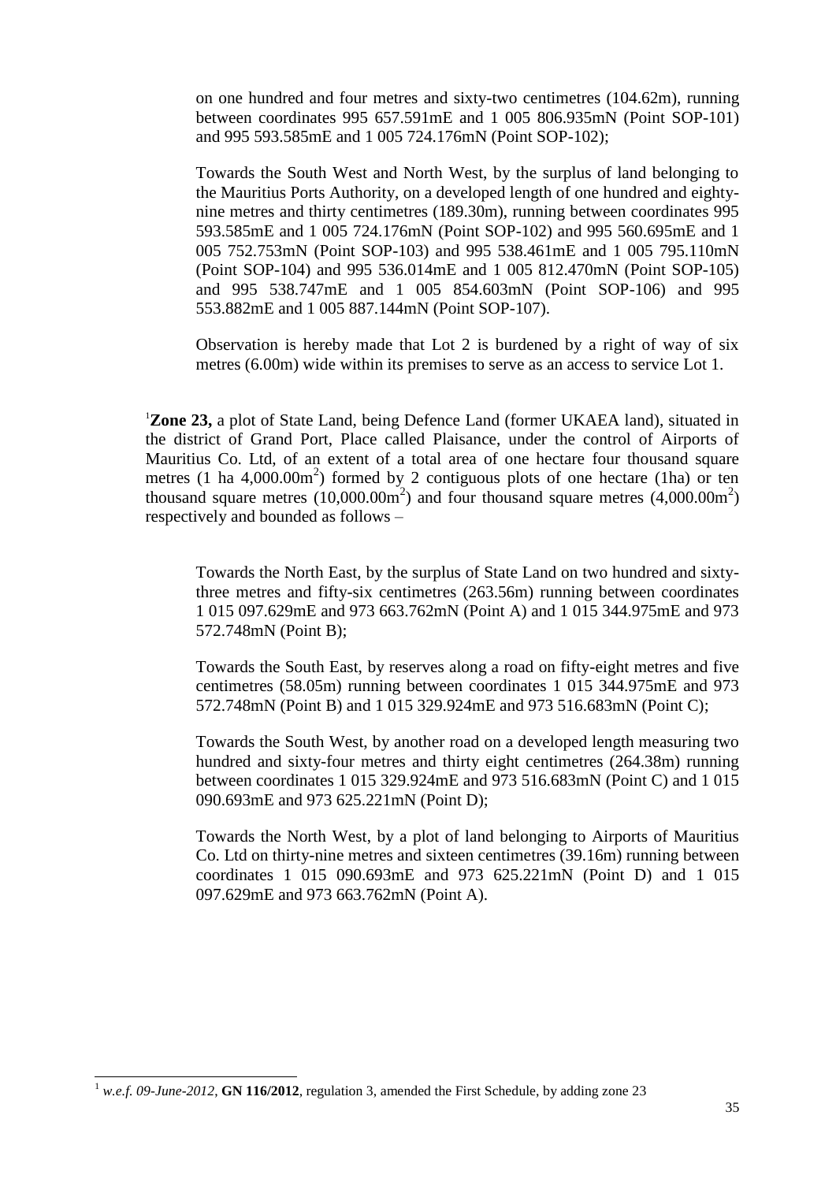on one hundred and four metres and sixty-two centimetres (104.62m), running between coordinates 995 657.591mE and 1 005 806.935mN (Point SOP-101) and 995 593.585mE and 1 005 724.176mN (Point SOP-102);

Towards the South West and North West, by the surplus of land belonging to the Mauritius Ports Authority, on a developed length of one hundred and eightynine metres and thirty centimetres (189.30m), running between coordinates 995 593.585mE and 1 005 724.176mN (Point SOP-102) and 995 560.695mE and 1 005 752.753mN (Point SOP-103) and 995 538.461mE and 1 005 795.110mN (Point SOP-104) and 995 536.014mE and 1 005 812.470mN (Point SOP-105) and 995 538.747mE and 1 005 854.603mN (Point SOP-106) and 995 553.882mE and 1 005 887.144mN (Point SOP-107).

Observation is hereby made that Lot 2 is burdened by a right of way of six metres (6.00m) wide within its premises to serve as an access to service Lot 1.

<sup>1</sup>Zone 23, a plot of State Land, being Defence Land (former UKAEA land), situated in the district of Grand Port, Place called Plaisance, under the control of Airports of Mauritius Co. Ltd, of an extent of a total area of one hectare four thousand square metres (1 ha  $4,000.00$ m<sup>2</sup>) formed by 2 contiguous plots of one hectare (1ha) or ten thousand square metres  $(10,000.00m^2)$  and four thousand square metres  $(4,000.00m^2)$ respectively and bounded as follows –

Towards the North East, by the surplus of State Land on two hundred and sixtythree metres and fifty-six centimetres (263.56m) running between coordinates 1 015 097.629mE and 973 663.762mN (Point A) and 1 015 344.975mE and 973 572.748mN (Point B);

Towards the South East, by reserves along a road on fifty-eight metres and five centimetres (58.05m) running between coordinates 1 015 344.975mE and 973 572.748mN (Point B) and 1 015 329.924mE and 973 516.683mN (Point C);

Towards the South West, by another road on a developed length measuring two hundred and sixty-four metres and thirty eight centimetres (264.38m) running between coordinates 1 015 329.924mE and 973 516.683mN (Point C) and 1 015 090.693mE and 973 625.221mN (Point D);

Towards the North West, by a plot of land belonging to Airports of Mauritius Co. Ltd on thirty-nine metres and sixteen centimetres (39.16m) running between coordinates 1 015 090.693mE and 973 625.221mN (Point D) and 1 015 097.629mE and 973 663.762mN (Point A).

l

<sup>1</sup> *w.e.f. 09-June-2012*, **GN 116/2012**, regulation 3, amended the First Schedule, by adding zone 23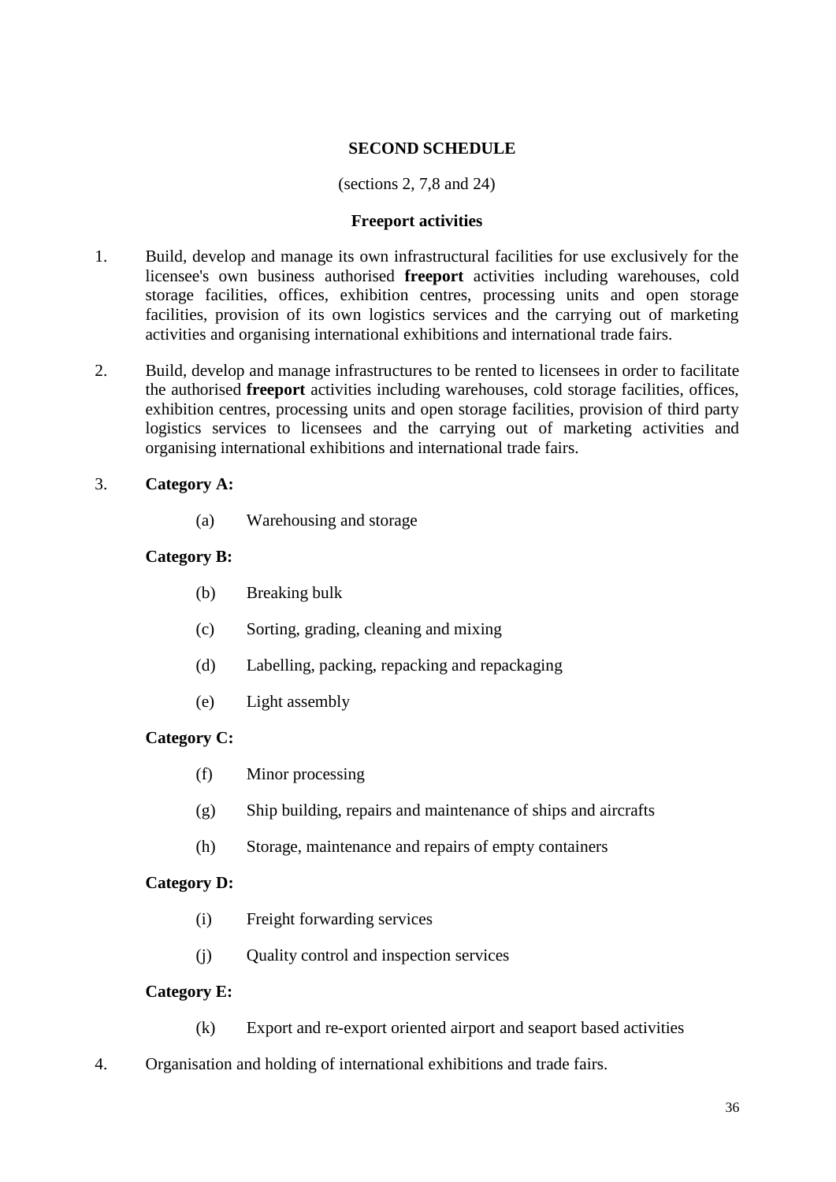# **SECOND SCHEDULE**

## (sections 2, 7,8 and 24)

#### **Freeport activities**

- <span id="page-35-0"></span>1. Build, develop and manage its own infrastructural facilities for use exclusively for the licensee's own business authorised **freeport** activities including warehouses, cold storage facilities, offices, exhibition centres, processing units and open storage facilities, provision of its own logistics services and the carrying out of marketing activities and organising international exhibitions and international trade fairs.
- 2. Build, develop and manage infrastructures to be rented to licensees in order to facilitate the authorised **freeport** activities including warehouses, cold storage facilities, offices, exhibition centres, processing units and open storage facilities, provision of third party logistics services to licensees and the carrying out of marketing activities and organising international exhibitions and international trade fairs.

## 3. **Category A:**

(a) Warehousing and storage

## **Category B:**

- (b) Breaking bulk
- (c) Sorting, grading, cleaning and mixing
- (d) Labelling, packing, repacking and repackaging
- (e) Light assembly

# **Category C:**

- (f) Minor processing
- (g) Ship building, repairs and maintenance of ships and aircrafts
- (h) Storage, maintenance and repairs of empty containers

#### **Category D:**

- (i) Freight forwarding services
- (j) Quality control and inspection services

#### **Category E:**

- (k) Export and re-export oriented airport and seaport based activities
- 4. Organisation and holding of international exhibitions and trade fairs.